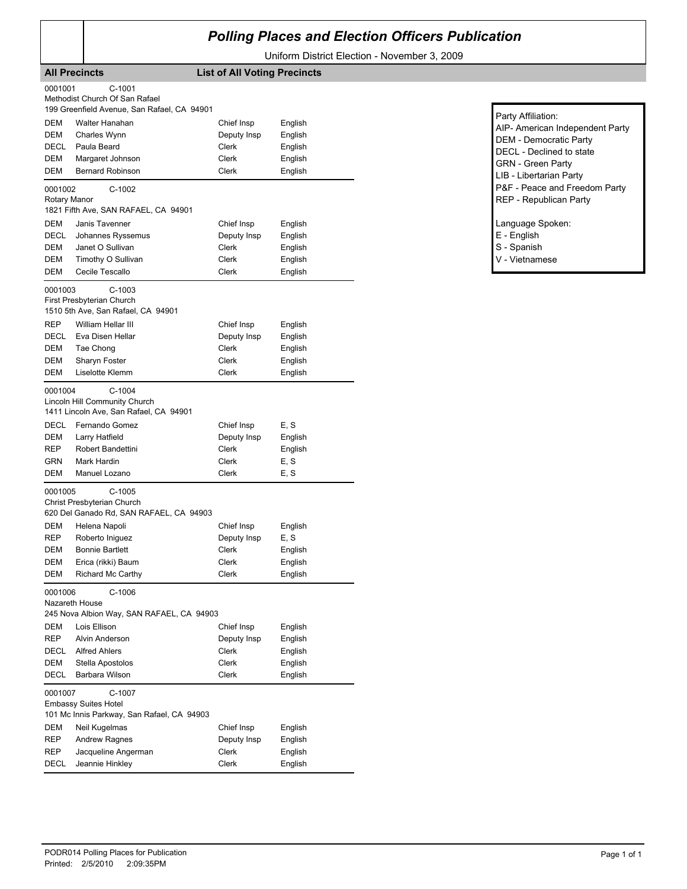## *Polling Places and Election Officers Publication*

Uniform District Election - November 3, 2009

|                                  | <b>All Precincts</b>                                                                                                                        | <b>List of All Voting Precincts</b>                  |                                                     |
|----------------------------------|---------------------------------------------------------------------------------------------------------------------------------------------|------------------------------------------------------|-----------------------------------------------------|
| 0001001                          | $C-1001$<br>Methodist Church Of San Rafael                                                                                                  |                                                      |                                                     |
| DEM<br>DEM<br>DECL<br>DEM<br>DEM | 199 Greenfield Avenue, San Rafael, CA 94901<br>Walter Hanahan<br>Charles Wynn<br>Paula Beard<br>Margaret Johnson<br><b>Bernard Robinson</b> | Chief Insp<br>Deputy Insp<br>Clerk<br>Clerk<br>Clerk | English<br>English<br>English<br>English<br>English |
| 0001002<br>Rotary Manor          | $C-1002$                                                                                                                                    |                                                      |                                                     |
| DEM<br>DECL<br>DEM<br>DEM<br>DEM | 1821 Fifth Ave, SAN RAFAEL, CA 94901<br>Janis Tavenner<br>Johannes Ryssemus<br>Janet O Sullivan<br>Timothy O Sullivan<br>Cecile Tescallo    | Chief Insp<br>Deputy Insp<br>Clerk<br>Clerk<br>Clerk | English<br>English<br>English<br>English<br>English |
| 0001003                          | $C-1003$<br>First Presbyterian Church                                                                                                       |                                                      |                                                     |
| REP<br>DECL<br>DEM<br>DEM<br>DEM | 1510 5th Ave, San Rafael, CA 94901<br>William Hellar III<br>Eva Disen Hellar<br>Tae Chong<br>Sharyn Foster<br>Liselotte Klemm               | Chief Insp<br>Deputy Insp<br>Clerk<br>Clerk<br>Clerk | English<br>English<br>English<br>English<br>English |
| 0001004                          | $C-1004$                                                                                                                                    |                                                      |                                                     |
|                                  | Lincoln Hill Community Church<br>1411 Lincoln Ave, San Rafael, CA 94901                                                                     |                                                      |                                                     |
| DECL                             | Fernando Gomez                                                                                                                              | Chief Insp                                           | E, S                                                |
| DEM                              | Larry Hatfield                                                                                                                              | Deputy Insp                                          | English                                             |
| REP                              | Robert Bandettini                                                                                                                           | Clerk                                                | English                                             |
| GRN<br>DEM                       | Mark Hardin<br>Manuel Lozano                                                                                                                | Clerk<br>Clerk                                       | E, S<br>E, S                                        |
| 0001005                          | $C-1005$<br>Christ Presbyterian Church<br>620 Del Ganado Rd, SAN RAFAEL, CA 94903                                                           |                                                      |                                                     |
| DEM                              | Helena Napoli                                                                                                                               | Chief Insp                                           | English                                             |
| REP                              | Roberto Iniguez                                                                                                                             | Deputy Insp                                          | E, S                                                |
| DEM                              | <b>Bonnie Bartlett</b>                                                                                                                      | Clerk                                                | English                                             |
| DEM                              | Erica (rikki) Baum                                                                                                                          | Clerk                                                | English                                             |
| DEM                              | Richard Mc Carthy                                                                                                                           | Clerk                                                | English                                             |
| 0001006                          | $C-1006$<br>Nazareth House<br>245 Nova Albion Way, SAN RAFAEL, CA 94903                                                                     |                                                      |                                                     |
| DEM                              | Lois Ellison                                                                                                                                | Chief Insp                                           | English                                             |
| REP                              | Alvin Anderson                                                                                                                              | Deputy Insp                                          | English                                             |
| DECL                             | <b>Alfred Ahlers</b>                                                                                                                        | Clerk                                                | English                                             |
| <b>DEM</b><br>DECL               | Stella Apostolos<br>Barbara Wilson                                                                                                          | Clerk<br>Clerk                                       | English<br>English                                  |
| 0001007                          | C-1007<br><b>Embassy Suites Hotel</b><br>101 Mc Innis Parkway, San Rafael, CA 94903                                                         |                                                      |                                                     |
| DEM                              | Neil Kugelmas                                                                                                                               | Chief Insp                                           | English                                             |
| REP<br>REP                       | <b>Andrew Ragnes</b><br>Jacqueline Angerman                                                                                                 | Deputy Insp<br>Clerk                                 | English<br>English                                  |
| DECL                             | Jeannie Hinkley                                                                                                                             | Clerk                                                | English                                             |

| Party Affiliation:<br>AIP- American Independent Party<br><b>DEM - Democratic Party</b><br>DECL - Declined to state<br><b>GRN</b> - Green Party |
|------------------------------------------------------------------------------------------------------------------------------------------------|
| LIB - Libertarian Party<br>P&F - Peace and Freedom Party<br>REP - Republican Party                                                             |
| Language Spoken:<br>E - English                                                                                                                |

S - Spanish V - Vietnamese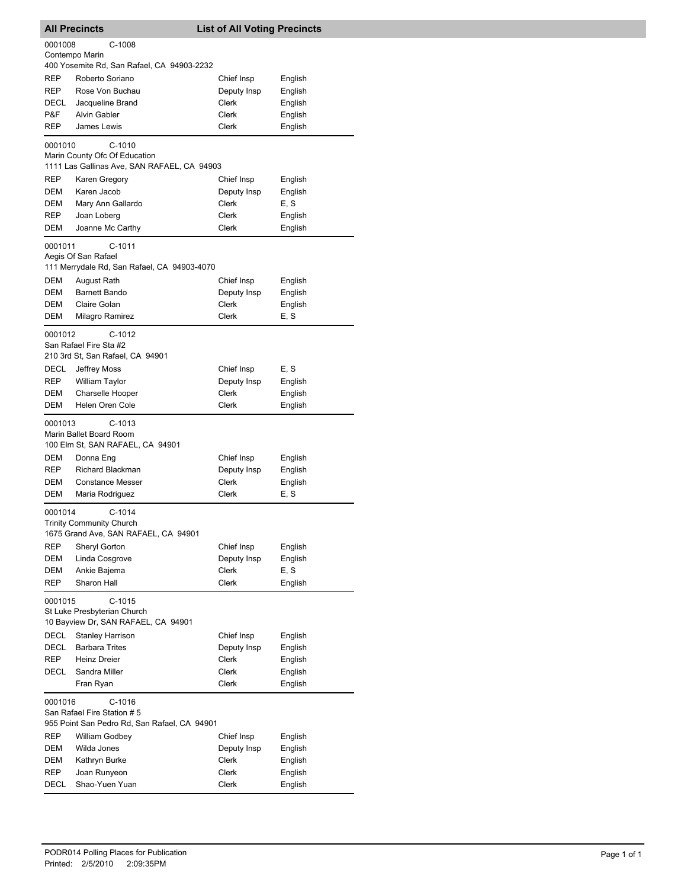|            | <b>All Precincts</b><br><b>List of All Voting Precincts</b>                  |                      |                 |
|------------|------------------------------------------------------------------------------|----------------------|-----------------|
| 0001008    | $C-1008$<br>Contempo Marin                                                   |                      |                 |
|            | 400 Yosemite Rd, San Rafael, CA 94903-2232                                   |                      |                 |
| <b>REP</b> | Roberto Soriano                                                              | Chief Insp           | English         |
| REP        | Rose Von Buchau                                                              | Deputy Insp          | English         |
| DECL       | Jacqueline Brand                                                             | Clerk                | English         |
| P&F        | <b>Alvin Gabler</b>                                                          | Clerk                | English         |
| REP        | James Lewis                                                                  | Clerk                | English         |
| 0001010    | C-1010                                                                       |                      |                 |
|            | Marin County Ofc Of Education<br>1111 Las Gallinas Ave, SAN RAFAEL, CA 94903 |                      |                 |
|            |                                                                              |                      |                 |
| REP        | Karen Gregory                                                                | Chief Insp           | English         |
| DEM        | Karen Jacob                                                                  | Deputy Insp<br>Clerk | English         |
| DEM<br>REP | Mary Ann Gallardo<br>Joan Loberg                                             | Clerk                | E, S<br>English |
| DEM        | Joanne Mc Carthy                                                             | Clerk                | English         |
|            |                                                                              |                      |                 |
| 0001011    | $C-1011$<br>Aegis Of San Rafael                                              |                      |                 |
|            | 111 Merrydale Rd, San Rafael, CA 94903-4070                                  |                      |                 |
| <b>DEM</b> | August Rath                                                                  | Chief Insp           | English         |
| DEM        | <b>Barnett Bando</b>                                                         | Deputy Insp          | English         |
| DEM        | Claire Golan                                                                 | Clerk                | English         |
| DEM        | Milagro Ramirez                                                              | Clerk                | E, S            |
| 0001012    | $C-1012$                                                                     |                      |                 |
|            | San Rafael Fire Sta #2                                                       |                      |                 |
|            | 210 3rd St, San Rafael, CA 94901                                             |                      |                 |
| DECL       | Jeffrey Moss                                                                 | Chief Insp           | E, S            |
| REP        | William Taylor                                                               | Deputy Insp          | English         |
| DEM        | Charselle Hooper                                                             | <b>Clerk</b>         | English         |
| DEM        | Helen Oren Cole                                                              | <b>Clerk</b>         | English         |
| 0001013    | C-1013                                                                       |                      |                 |
|            | Marin Ballet Board Room                                                      |                      |                 |
|            | 100 Elm St, SAN RAFAEL, CA 94901                                             |                      |                 |
| DEM        | Donna Eng                                                                    | Chief Insp           | English         |
| REP        | Richard Blackman                                                             | Deputy Insp          | English         |
| <b>DEM</b> | <b>Constance Messer</b>                                                      | Clerk                | English         |
| DEM        | Maria Rodriguez                                                              | Clerk                | E, S            |
| 0001014    | $C-1014$                                                                     |                      |                 |
|            | <b>Trinity Community Church</b>                                              |                      |                 |
|            | 1675 Grand Ave, SAN RAFAEL, CA 94901                                         |                      |                 |
| REP        | Sheryl Gorton                                                                | Chief Insp           | English         |
| DEM        | Linda Cosgrove                                                               | Deputy Insp          | English         |
| DEM        | Ankie Bajema                                                                 | Clerk                | E, S            |
| REP        | Sharon Hall                                                                  | Clerk                | English         |
| 0001015    | C-1015                                                                       |                      |                 |
|            | St Luke Presbyterian Church                                                  |                      |                 |
|            | 10 Bayview Dr, SAN RAFAEL, CA 94901                                          |                      |                 |
| DECL       | <b>Stanley Harrison</b>                                                      | Chief Insp           | English         |
| DECL       | <b>Barbara Trites</b>                                                        | Deputy Insp          | English         |
| REP        | Heinz Dreier                                                                 | Clerk                | English         |
| DECL       | Sandra Miller                                                                | Clerk                | English         |
|            | Fran Ryan                                                                    | Clerk                | English         |
| 0001016    | C-1016                                                                       |                      |                 |
|            | San Rafael Fire Station # 5                                                  |                      |                 |
|            | 955 Point San Pedro Rd, San Rafael, CA 94901                                 |                      |                 |
| REP        | William Godbey                                                               | Chief Insp           | English         |
| DEM        | Wilda Jones                                                                  | Deputy Insp          | English         |
| DEM        | Kathryn Burke                                                                | Clerk                | English         |
| REP        | Joan Runyeon                                                                 | Clerk                | English         |
| DECL       | Shao-Yuen Yuan                                                               | Clerk                | English         |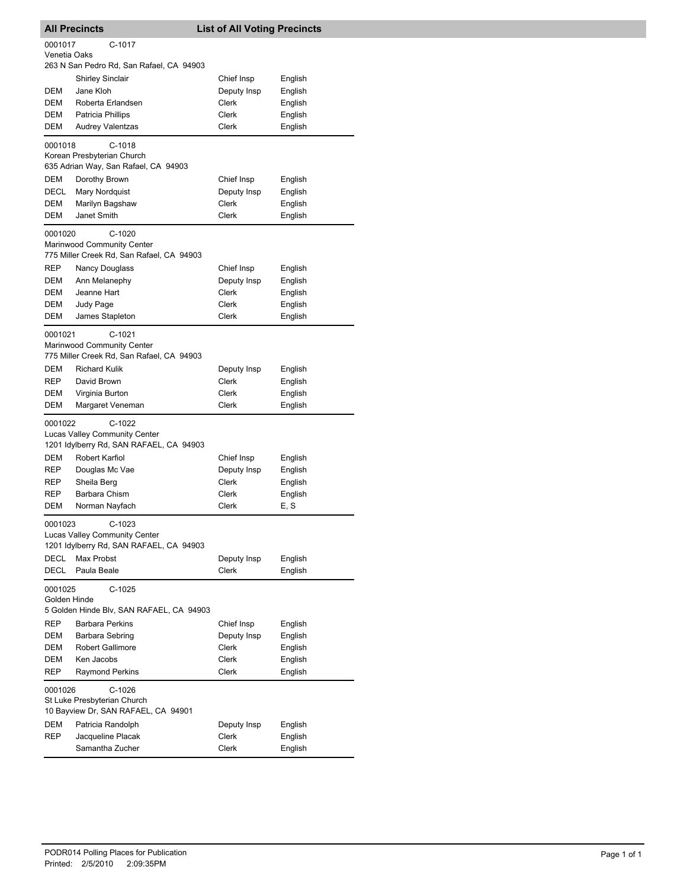| <b>All Precincts</b>    |                                                                                      | <b>List of All Voting Precincts</b> |                    |  |
|-------------------------|--------------------------------------------------------------------------------------|-------------------------------------|--------------------|--|
| 0001017<br>Venetia Oaks | C-1017                                                                               |                                     |                    |  |
|                         | 263 N San Pedro Rd, San Rafael, CA 94903                                             |                                     |                    |  |
|                         | Shirley Sinclair                                                                     | Chief Insp                          | English            |  |
| DEM                     | Jane Kloh                                                                            | Deputy Insp                         | English            |  |
| DEM                     | Roberta Erlandsen                                                                    | Clerk                               | English            |  |
| DEM<br>DEM              | Patricia Phillips                                                                    | Clerk<br>Clerk                      | English<br>English |  |
|                         | <b>Audrey Valentzas</b>                                                              |                                     |                    |  |
| 0001018                 | $C-1018$<br>Korean Presbyterian Church<br>635 Adrian Way, San Rafael, CA 94903       |                                     |                    |  |
| DEM                     | Dorothy Brown                                                                        | Chief Insp                          | English            |  |
| DECL                    | Mary Nordquist                                                                       | Deputy Insp                         | English            |  |
| DEM                     | Marilyn Bagshaw                                                                      | Clerk                               | English            |  |
| <b>DEM</b>              | Janet Smith                                                                          | Clerk                               | English            |  |
| 0001020                 | $C-1020$<br>Marinwood Community Center<br>775 Miller Creek Rd, San Rafael, CA 94903  |                                     |                    |  |
| REP                     | Nancy Douglass                                                                       | Chief Insp                          | English            |  |
| DEM                     | Ann Melanephy                                                                        | Deputy Insp                         | English            |  |
| DEM                     | Jeanne Hart                                                                          | Clerk                               | English            |  |
| DEM                     | Judy Page                                                                            | Clerk                               | English            |  |
| DEM                     | James Stapleton                                                                      | Clerk                               | English            |  |
| 0001021                 | C-1021<br>Marinwood Community Center<br>775 Miller Creek Rd, San Rafael, CA 94903    |                                     |                    |  |
| DEM                     | <b>Richard Kulik</b>                                                                 | Deputy Insp                         | English            |  |
| REP                     | David Brown                                                                          | Clerk                               | English            |  |
| DEM                     | Virginia Burton                                                                      | Clerk                               | English            |  |
| <b>DEM</b>              | Margaret Veneman                                                                     | Clerk                               | English            |  |
| 0001022                 | $C-1022$<br>Lucas Valley Community Center<br>1201 Idylberry Rd, SAN RAFAEL, CA 94903 |                                     |                    |  |
| DEM                     | Robert Karfiol                                                                       | Chief Insp                          | English            |  |
| REP                     | Douglas Mc Vae                                                                       | Deputy Insp                         | English            |  |
| REP                     | Sheila Berg                                                                          | <b>Clerk</b>                        | English            |  |
| REP                     | Barbara Chism                                                                        | Clerk                               | English            |  |
| DEM                     | Norman Nayfach                                                                       | Clerk                               | E, S               |  |
| 0001023                 | $C-1023$<br>Lucas Valley Community Center<br>1201 Idylberry Rd, SAN RAFAEL, CA 94903 |                                     |                    |  |
| DECL                    | Max Probst                                                                           | Deputy Insp                         | English            |  |
| DECL                    | Paula Beale                                                                          | Clerk                               | English            |  |
| 0001025<br>Golden Hinde | $C-1025$                                                                             |                                     |                    |  |
|                         | 5 Golden Hinde Blv, SAN RAFAEL, CA 94903                                             |                                     |                    |  |
| REP                     | <b>Barbara Perkins</b>                                                               | Chief Insp                          | English            |  |
| DEM                     | Barbara Sebring                                                                      | Deputy Insp                         | English            |  |
| DEM                     | <b>Robert Gallimore</b>                                                              | Clerk                               | English            |  |
| DEM<br><b>REP</b>       | Ken Jacobs<br><b>Raymond Perkins</b>                                                 | Clerk<br>Clerk                      | English            |  |
|                         |                                                                                      |                                     | English            |  |
| 0001026                 | $C-1026$<br>St Luke Presbyterian Church<br>10 Bayview Dr, SAN RAFAEL, CA 94901       |                                     |                    |  |
| DEM                     | Patricia Randolph                                                                    | Deputy Insp                         | English            |  |
| REP                     | Jacqueline Placak                                                                    | Clerk                               | English            |  |
|                         | Samantha Zucher                                                                      | Clerk                               | English            |  |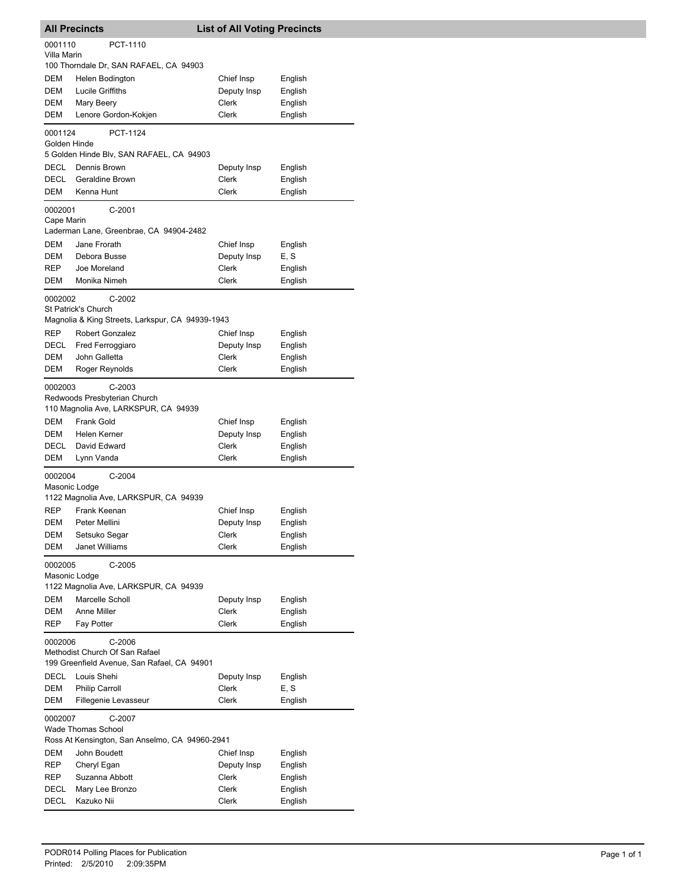|                                                                                                      | <b>All Precincts</b>                                                           | <b>List of All Voting Precincts</b> |                    |
|------------------------------------------------------------------------------------------------------|--------------------------------------------------------------------------------|-------------------------------------|--------------------|
| 0001110<br>Villa Marin                                                                               | PCT-1110                                                                       |                                     |                    |
|                                                                                                      | 100 Thorndale Dr, SAN RAFAEL, CA 94903                                         |                                     |                    |
| DEM                                                                                                  | Helen Bodington                                                                | Chief Insp                          | English            |
| DEM                                                                                                  | Lucile Griffiths                                                               | Deputy Insp                         | English            |
| DEM                                                                                                  | Mary Beery                                                                     | <b>Clerk</b>                        | English            |
| DEM                                                                                                  | Lenore Gordon-Kokjen                                                           | Clerk                               | English            |
| 0001124<br>Golden Hinde                                                                              | PCT-1124                                                                       |                                     |                    |
|                                                                                                      | 5 Golden Hinde Blv, SAN RAFAEL, CA 94903                                       |                                     |                    |
| DECL                                                                                                 | Dennis Brown                                                                   | Deputy Insp                         | English            |
| DECL                                                                                                 | Geraldine Brown                                                                | Clerk                               | English            |
| DEM                                                                                                  | Kenna Hunt                                                                     | Clerk                               | English            |
| 0002001<br>Cape Marin                                                                                | $C-2001$<br>Laderman Lane, Greenbrae, CA 94904-2482                            |                                     |                    |
| DEM                                                                                                  | Jane Frorath                                                                   | Chief Insp                          | English            |
| DEM                                                                                                  | Debora Busse                                                                   | Deputy Insp                         | E, S               |
| REP                                                                                                  | Joe Moreland                                                                   | Clerk                               | English            |
| DEM                                                                                                  | Monika Nimeh                                                                   | Clerk                               | English            |
| 0002002                                                                                              | $C-2002$<br>St Patrick's Church                                                |                                     |                    |
|                                                                                                      | Magnolia & King Streets, Larkspur, CA 94939-1943                               |                                     |                    |
| REP                                                                                                  | <b>Robert Gonzalez</b>                                                         | Chief Insp                          | English            |
| DECL                                                                                                 | Fred Ferroggiaro                                                               | Deputy Insp                         | English            |
| DEM                                                                                                  | John Galletta                                                                  | Clerk                               | English            |
| DEM                                                                                                  | Roger Reynolds                                                                 | Clerk                               | English            |
| 0002003                                                                                              | C-2003<br>Redwoods Presbyterian Church<br>110 Magnolia Ave, LARKSPUR, CA 94939 |                                     |                    |
| DEM                                                                                                  | <b>Frank Gold</b>                                                              | Chief Insp                          | English            |
| DEM                                                                                                  | Helen Kerner                                                                   | Deputy Insp                         | English            |
| DECL                                                                                                 | David Edward                                                                   | Clerk                               | English            |
| DEM                                                                                                  | Lynn Vanda                                                                     | Clerk                               | English            |
| 0002004<br>Masonic Lodge                                                                             | $C-2004$<br>1122 Magnolia Ave, LARKSPUR, CA 94939                              |                                     |                    |
| <b>REP</b>                                                                                           | Frank Keenan                                                                   | Chief Insp                          | English            |
| DEM                                                                                                  | Peter Mellini                                                                  | Deputy Insp                         | English            |
| DEM                                                                                                  | Setsuko Segar                                                                  | Clerk                               | English            |
| DEM                                                                                                  | <b>Janet Williams</b>                                                          | Clerk                               | English            |
| 0002005<br>Masonic Lodge                                                                             | $C-2005$                                                                       |                                     |                    |
|                                                                                                      | 1122 Magnolia Ave, LARKSPUR, CA 94939                                          |                                     |                    |
| DEM                                                                                                  | Marcelle Scholl                                                                | Deputy Insp                         | English            |
| <b>DEM</b>                                                                                           | Anne Miller                                                                    | Clerk                               | English            |
| REP                                                                                                  | Fay Potter                                                                     | Clerk                               | English            |
| $C-2006$<br>0002006<br>Methodist Church Of San Rafael<br>199 Greenfield Avenue, San Rafael, CA 94901 |                                                                                |                                     |                    |
| DECL                                                                                                 | Louis Shehi                                                                    | Deputy Insp                         | English            |
| DEM                                                                                                  | <b>Philip Carroll</b>                                                          | Clerk                               | E, S               |
| DEM                                                                                                  | Fillegenie Levasseur                                                           | Clerk                               | English            |
| 0002007                                                                                              | C-2007<br><b>Wade Thomas School</b>                                            |                                     |                    |
|                                                                                                      | Ross At Kensington, San Anselmo, CA 94960-2941                                 |                                     |                    |
| DEM                                                                                                  | John Boudett                                                                   | Chief Insp                          | English            |
| REP<br>REP                                                                                           | Cheryl Egan<br>Suzanna Abbott                                                  | Deputy Insp<br>Clerk                | English<br>English |
| DECL                                                                                                 | Mary Lee Bronzo                                                                | Clerk                               | English            |
| <b>DECL</b>                                                                                          | Kazuko Nii                                                                     | Clerk                               | English            |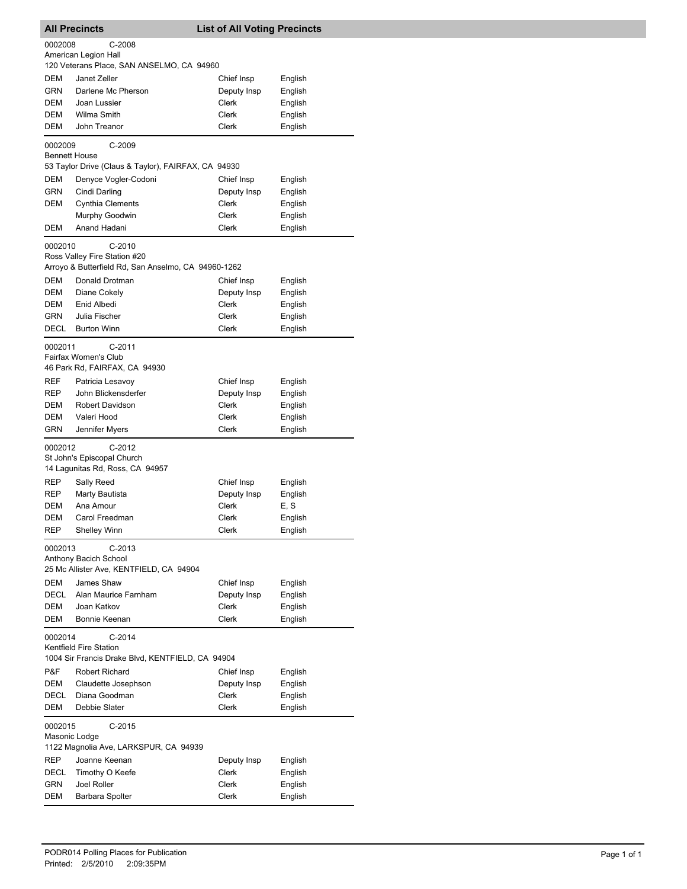|                                                   | <b>All Precincts</b><br><b>List of All Voting Precincts</b> |                      |                    |
|---------------------------------------------------|-------------------------------------------------------------|----------------------|--------------------|
| 0002008                                           | $C-2008$                                                    |                      |                    |
|                                                   | American Legion Hall                                        |                      |                    |
| <b>DEM</b>                                        | 120 Veterans Place, SAN ANSELMO, CA 94960<br>Janet Zeller   | Chief Insp           | English            |
| GRN                                               | Darlene Mc Pherson                                          | Deputy Insp          | English            |
| DEM                                               | Joan Lussier                                                | Clerk                | English            |
| DEM                                               | Wilma Smith                                                 | Clerk                | English            |
| DEM                                               | John Treanor                                                | Clerk                | English            |
| 0002009                                           | C-2009                                                      |                      |                    |
|                                                   | <b>Bennett House</b>                                        |                      |                    |
|                                                   | 53 Taylor Drive (Claus & Taylor), FAIRFAX, CA 94930         |                      |                    |
| DEM                                               | Denyce Vogler-Codoni                                        | Chief Insp           | English            |
| GRN                                               | Cindi Darling                                               | Deputy Insp          | English            |
| DEM                                               | <b>Cynthia Clements</b>                                     | Clerk                | English            |
| DEM                                               | Murphy Goodwin<br>Anand Hadani                              | Clerk<br>Clerk       | English            |
|                                                   |                                                             |                      | English            |
| 0002010                                           | $C-2010$<br>Ross Valley Fire Station #20                    |                      |                    |
|                                                   | Arroyo & Butterfield Rd, San Anselmo, CA 94960-1262         |                      |                    |
| DEM                                               | Donald Drotman                                              | Chief Insp           | English            |
| DEM                                               | Diane Cokely                                                | Deputy Insp          | English            |
| DEM                                               | Enid Albedi                                                 | Clerk                | English            |
| GRN                                               | Julia Fischer                                               | Clerk                | English            |
| DECL                                              | <b>Burton Winn</b>                                          | Clerk                | English            |
| 0002011                                           | $C-2011$                                                    |                      |                    |
|                                                   | Fairfax Women's Club                                        |                      |                    |
|                                                   | 46 Park Rd, FAIRFAX, CA 94930                               |                      |                    |
| REF                                               | Patricia Lesavoy                                            | Chief Insp           | English            |
| REP                                               | John Blickensderfer                                         | Deputy Insp          | English            |
| DEM<br>DEM                                        | Robert Davidson                                             | Clerk<br>Clerk       | English            |
| GRN                                               | Valeri Hood<br>Jennifer Myers                               | Clerk                | English<br>English |
|                                                   |                                                             |                      |                    |
| $C-2012$<br>0002012<br>St John's Episcopal Church |                                                             |                      |                    |
|                                                   | 14 Lagunitas Rd, Ross, CA 94957                             |                      |                    |
| REP                                               | Sally Reed                                                  | Chief Insp           | English            |
| REP                                               | Marty Bautista                                              | Deputy Insp          | English            |
| DEM                                               | Ana Amour                                                   | Clerk                | E, S               |
| DEM                                               | Carol Freedman                                              | Clerk                | English            |
| REP                                               | Shelley Winn                                                | Clerk                | English            |
| 0002013                                           | $C-2013$                                                    |                      |                    |
|                                                   | Anthony Bacich School                                       |                      |                    |
|                                                   | 25 Mc Allister Ave, KENTFIELD, CA 94904                     |                      |                    |
| DEM                                               | James Shaw                                                  | Chief Insp           | English            |
| DECL<br>DEM                                       | Alan Maurice Farnham<br>Joan Katkov                         | Deputy Insp<br>Clerk | English<br>English |
| DEM                                               | Bonnie Keenan                                               | Clerk                | English            |
|                                                   |                                                             |                      |                    |
| 0002014                                           | $C-2014$<br>Kentfield Fire Station                          |                      |                    |
|                                                   | 1004 Sir Francis Drake Blvd, KENTFIELD, CA 94904            |                      |                    |
| P&F                                               | <b>Robert Richard</b>                                       | Chief Insp           | English            |
| DEM                                               | Claudette Josephson                                         | Deputy Insp          | English            |
| DECL                                              | Diana Goodman                                               | <b>Clerk</b>         | English            |
| DEM                                               | Debbie Slater                                               | Clerk                | English            |
| 0002015                                           | $C-2015$                                                    |                      |                    |
|                                                   | Masonic Lodge                                               |                      |                    |
|                                                   | 1122 Magnolia Ave, LARKSPUR, CA 94939                       |                      |                    |
| REP                                               | Joanne Keenan                                               | Deputy Insp          | English            |
| DECL                                              | Timothy O Keefe                                             | Clerk<br>Clerk       | English            |
| GRN<br>DEM                                        | <b>Joel Roller</b><br>Barbara Spolter                       | Clerk                | English<br>English |
|                                                   |                                                             |                      |                    |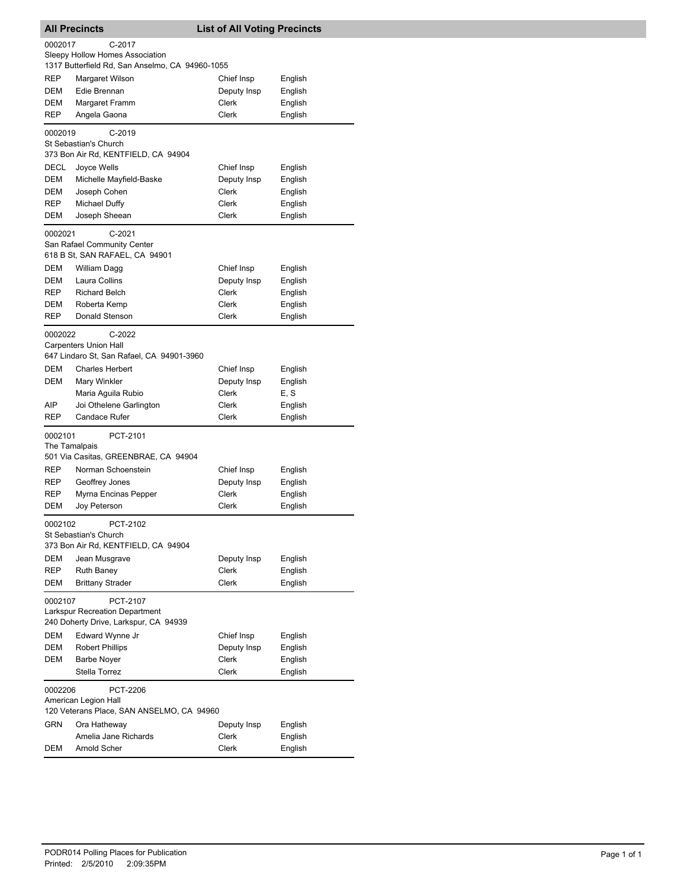|                                                                                                           | <b>All Precincts</b><br><b>List of All Voting Precincts</b>                         |              |         |  |  |
|-----------------------------------------------------------------------------------------------------------|-------------------------------------------------------------------------------------|--------------|---------|--|--|
| 0002017<br>$C-2017$<br>Sleepy Hollow Homes Association<br>1317 Butterfield Rd, San Anselmo, CA 94960-1055 |                                                                                     |              |         |  |  |
| <b>REP</b>                                                                                                | Margaret Wilson                                                                     | Chief Insp   | English |  |  |
| <b>DEM</b>                                                                                                | Edie Brennan                                                                        | Deputy Insp  | English |  |  |
| DEM                                                                                                       | Margaret Framm                                                                      | Clerk        | English |  |  |
| REP                                                                                                       | Angela Gaona                                                                        | Clerk        | English |  |  |
|                                                                                                           |                                                                                     |              |         |  |  |
| 0002019                                                                                                   | C-2019<br>St Sebastian's Church<br>373 Bon Air Rd, KENTFIELD, CA 94904              |              |         |  |  |
| DECL                                                                                                      | Joyce Wells                                                                         | Chief Insp   | English |  |  |
| DEM                                                                                                       | Michelle Mayfield-Baske                                                             | Deputy Insp  | English |  |  |
| DEM                                                                                                       | Joseph Cohen                                                                        | Clerk        | English |  |  |
| <b>REP</b>                                                                                                | Michael Duffy                                                                       | Clerk        | English |  |  |
| DEM                                                                                                       | Joseph Sheean                                                                       | Clerk        | English |  |  |
| 0002021                                                                                                   | $C-2021$<br>San Rafael Community Center<br>618 B St, SAN RAFAEL, CA 94901           |              |         |  |  |
| <b>DEM</b>                                                                                                | William Dagg                                                                        | Chief Insp   | English |  |  |
| <b>DEM</b>                                                                                                | Laura Collins                                                                       | Deputy Insp  | English |  |  |
| <b>REP</b>                                                                                                | <b>Richard Belch</b>                                                                | <b>Clerk</b> |         |  |  |
| DEM                                                                                                       | Roberta Kemp                                                                        | Clerk        | English |  |  |
| <b>REP</b>                                                                                                | Donald Stenson                                                                      | Clerk        | English |  |  |
|                                                                                                           |                                                                                     |              | English |  |  |
| 0002022                                                                                                   | C-2022<br><b>Carpenters Union Hall</b><br>647 Lindaro St, San Rafael, CA 94901-3960 |              |         |  |  |
| DEM                                                                                                       | <b>Charles Herbert</b>                                                              | Chief Insp   | English |  |  |
| DEM                                                                                                       | Mary Winkler                                                                        | Deputy Insp  | English |  |  |
|                                                                                                           | Maria Aguila Rubio                                                                  | Clerk        | E, S    |  |  |
| AIP                                                                                                       | Joi Othelene Garlington                                                             | Clerk        | English |  |  |
| <b>REP</b>                                                                                                | Candace Rufer                                                                       | Clerk        | English |  |  |
| 0002101                                                                                                   | PCT-2101<br>The Tamalpais                                                           |              |         |  |  |
|                                                                                                           | 501 Via Casitas, GREENBRAE, CA 94904                                                |              |         |  |  |
| <b>REP</b>                                                                                                | Norman Schoenstein                                                                  | Chief Insp   | English |  |  |
| <b>REP</b>                                                                                                | Geoffrey Jones                                                                      | Deputy Insp  | English |  |  |
| REP                                                                                                       | Myrna Encinas Pepper                                                                | Clerk        | English |  |  |
| <b>DEM</b>                                                                                                | Joy Peterson                                                                        | Clerk        | English |  |  |
| 0002102                                                                                                   | PCT-2102<br>St Sebastian's Church<br>373 Bon Air Rd, KENTFIELD, CA 94904            |              |         |  |  |
|                                                                                                           |                                                                                     | Deputy Insp  |         |  |  |
| DEM                                                                                                       | Jean Musgrave                                                                       |              | English |  |  |
| <b>REP</b>                                                                                                | <b>Ruth Baney</b>                                                                   | Clerk        | English |  |  |
|                                                                                                           | DEM<br><b>Brittany Strader</b><br>Clerk<br>English<br>PCT-2107<br>0002107           |              |         |  |  |
|                                                                                                           | <b>Larkspur Recreation Department</b><br>240 Doherty Drive, Larkspur, CA 94939      |              |         |  |  |
| DEM                                                                                                       | Edward Wynne Jr                                                                     | Chief Insp   | English |  |  |
| DEM                                                                                                       | Robert Phillips                                                                     | Deputy Insp  | English |  |  |
| DEM                                                                                                       | <b>Barbe Noyer</b>                                                                  | Clerk        | English |  |  |
|                                                                                                           | Stella Torrez                                                                       | Clerk        | English |  |  |
| 0002206                                                                                                   | PCT-2206<br>American Legion Hall<br>120 Veterans Place, SAN ANSELMO, CA 94960       |              |         |  |  |
| GRN                                                                                                       | Ora Hatheway                                                                        | Deputy Insp  | English |  |  |
|                                                                                                           | Amelia Jane Richards                                                                | Clerk        | English |  |  |
| DEM                                                                                                       | Arnold Scher                                                                        | Clerk        | English |  |  |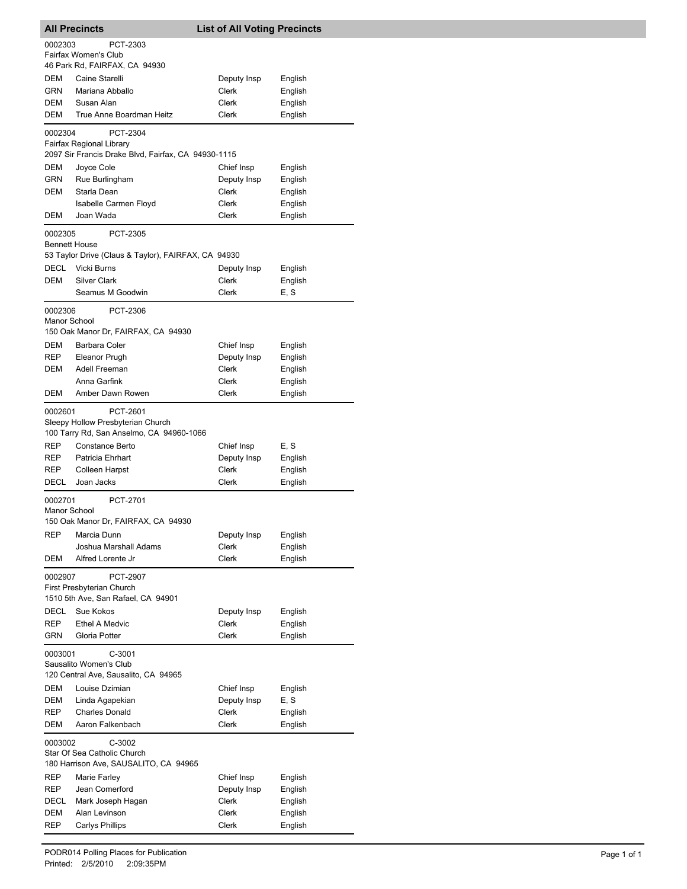| <b>All Precincts</b>            |                                                                                             | <b>List of All Voting Precincts</b> |                    |
|---------------------------------|---------------------------------------------------------------------------------------------|-------------------------------------|--------------------|
| 0002303                         | PCT-2303                                                                                    |                                     |                    |
|                                 | Fairfax Women's Club<br>46 Park Rd, FAIRFAX, CA 94930                                       |                                     |                    |
| DEM                             | Caine Starelli                                                                              | Deputy Insp                         | English            |
| <b>GRN</b>                      | Mariana Abballo                                                                             | Clerk                               | English            |
| DEM                             | Susan Alan                                                                                  | Clerk                               | English            |
| DEM                             | True Anne Boardman Heitz                                                                    | Clerk                               | English            |
| 0002304                         | PCT-2304<br>Fairfax Regional Library<br>2097 Sir Francis Drake Blvd, Fairfax, CA 94930-1115 |                                     |                    |
| <b>DEM</b>                      | Joyce Cole                                                                                  | Chief Insp                          | English            |
| <b>GRN</b>                      | Rue Burlingham                                                                              | Deputy Insp                         | English            |
| <b>DEM</b>                      | Starla Dean                                                                                 | Clerk                               | English            |
|                                 | Isabelle Carmen Floyd                                                                       | Clerk                               | English            |
| DEM                             | Joan Wada                                                                                   | Clerk                               | English            |
| 0002305<br><b>Bennett House</b> | PCT-2305<br>53 Taylor Drive (Claus & Taylor), FAIRFAX, CA 94930                             |                                     |                    |
| <b>DECL</b>                     | <b>Vicki Burns</b>                                                                          | Deputy Insp                         | English            |
| DEM                             | <b>Silver Clark</b>                                                                         | Clerk                               | English            |
|                                 | Seamus M Goodwin                                                                            | Clerk                               | E, S               |
| 0002306<br>Manor School         | PCT-2306                                                                                    |                                     |                    |
|                                 | 150 Oak Manor Dr, FAIRFAX, CA 94930                                                         |                                     |                    |
| DEM<br>REP                      | <b>Barbara Coler</b><br>Eleanor Prugh                                                       | Chief Insp<br>Deputy Insp           | English<br>English |
| <b>DEM</b>                      | Adell Freeman                                                                               | Clerk                               | English            |
|                                 | Anna Garfink                                                                                | Clerk                               | English            |
| DEM                             | Amber Dawn Rowen                                                                            | Clerk                               | English            |
| 0002601                         | PCT-2601<br>Sleepy Hollow Presbyterian Church<br>100 Tarry Rd, San Anselmo, CA 94960-1066   |                                     |                    |
| REP                             | Constance Berto                                                                             | Chief Insp                          | E, S               |
| REP                             | Patricia Ehrhart                                                                            | Deputy Insp                         | English            |
| REP                             | <b>Colleen Harpst</b>                                                                       | Clerk                               | English            |
| DECL                            | Joan Jacks                                                                                  | <b>Clerk</b>                        | English            |
| 0002701<br>Manor School         | PCT-2701<br>150 Oak Manor Dr, FAIRFAX, CA 94930                                             |                                     |                    |
| <b>REP</b>                      | Marcia Dunn                                                                                 | Deputy Insp                         | English            |
|                                 | Joshua Marshall Adams                                                                       | Clerk                               | English            |
| DEM                             | Alfred Lorente Jr                                                                           | Clerk                               | English            |
| 0002907                         | <b>PCT-2907</b><br>First Presbyterian Church<br>1510 5th Ave, San Rafael, CA 94901          |                                     |                    |
| DECL                            | Sue Kokos                                                                                   | Deputy Insp                         | English            |
| REP                             | <b>Ethel A Medvic</b>                                                                       | Clerk                               | English            |
| GRN                             | Gloria Potter                                                                               | Clerk                               | English            |
| 0003001                         | C-3001<br>Sausalito Women's Club                                                            |                                     |                    |
|                                 | 120 Central Ave, Sausalito, CA 94965                                                        |                                     |                    |
| DEM<br>DEM                      | Louise Dzimian<br>Linda Agapekian                                                           | Chief Insp<br>Deputy Insp           | English<br>E, S    |
| REP                             | <b>Charles Donald</b>                                                                       | <b>Clerk</b>                        | English            |
| DEM                             | Aaron Falkenbach                                                                            | Clerk                               | English            |
| 0003002                         | C-3002<br>Star Of Sea Catholic Church                                                       |                                     |                    |
|                                 | 180 Harrison Ave, SAUSALITO, CA 94965                                                       |                                     |                    |
| REP                             | Marie Farley                                                                                | Chief Insp                          | English            |
| REP<br>DECL                     | Jean Comerford<br>Mark Joseph Hagan                                                         | Deputy Insp<br><b>Clerk</b>         | English<br>English |
| DEM                             | Alan Levinson                                                                               | Clerk                               | English            |
| REP                             | Carlys Phillips                                                                             | Clerk                               | English            |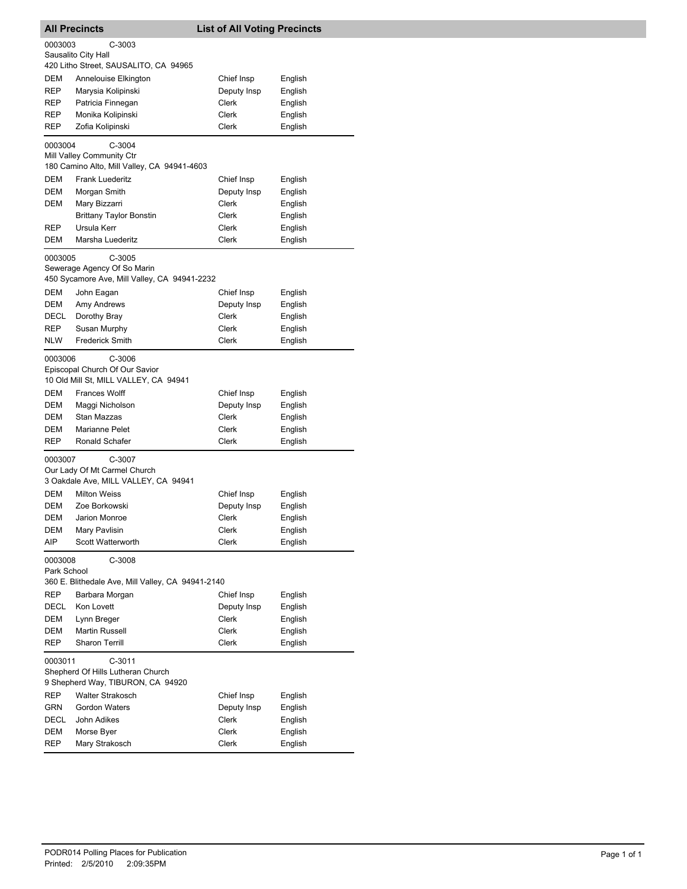| <b>All Precincts</b>                     |                                                                                         | <b>List of All Voting Precincts</b> |                    |  |
|------------------------------------------|-----------------------------------------------------------------------------------------|-------------------------------------|--------------------|--|
| 0003003<br>C-3003<br>Sausalito City Hall |                                                                                         |                                     |                    |  |
|                                          | 420 Litho Street, SAUSALITO, CA 94965                                                   |                                     |                    |  |
| DEM                                      | Annelouise Elkington                                                                    | Chief Insp                          | English            |  |
| REP<br>REP                               | Marysia Kolipinski                                                                      | Deputy Insp<br>Clerk                | English            |  |
| REP                                      | Patricia Finnegan<br>Monika Kolipinski                                                  | Clerk                               | English<br>English |  |
| REP                                      | Zofia Kolipinski                                                                        | Clerk                               | English            |  |
|                                          |                                                                                         |                                     |                    |  |
| 0003004                                  | $C-3004$<br>Mill Valley Community Ctr                                                   |                                     |                    |  |
|                                          | 180 Camino Alto, Mill Valley, CA 94941-4603                                             |                                     |                    |  |
| DEM                                      | <b>Frank Luederitz</b>                                                                  | Chief Insp                          | English            |  |
| DEM                                      | Morgan Smith                                                                            | Deputy Insp                         | English            |  |
| DEM                                      | Mary Bizzarri                                                                           | Clerk                               | English            |  |
|                                          | <b>Brittany Taylor Bonstin</b>                                                          | Clerk                               | English            |  |
| REP                                      | Ursula Kerr                                                                             | Clerk                               | English            |  |
| DEM                                      | Marsha Luederitz                                                                        | Clerk                               | English            |  |
| 0003005                                  | $C-3005$<br>Sewerage Agency Of So Marin<br>450 Sycamore Ave, Mill Valley, CA 94941-2232 |                                     |                    |  |
| DEM                                      | John Eagan                                                                              | Chief Insp                          | English            |  |
| DEM                                      | Amy Andrews                                                                             | Deputy Insp                         | English            |  |
| DECL                                     | Dorothy Bray                                                                            | Clerk                               | English            |  |
| REP                                      | Susan Murphy                                                                            | Clerk                               | English            |  |
| NLW                                      | <b>Frederick Smith</b>                                                                  | Clerk                               | English            |  |
| 0003006                                  | C-3006<br>Episcopal Church Of Our Savior<br>10 Old Mill St, MILL VALLEY, CA 94941       |                                     |                    |  |
| DEM                                      | <b>Frances Wolff</b>                                                                    | Chief Insp                          | English            |  |
| DEM<br>DEM                               | Maggi Nicholson<br>Stan Mazzas                                                          | Deputy Insp<br>Clerk                | English            |  |
| DEM                                      | Marianne Pelet                                                                          | Clerk                               | English<br>English |  |
| REP                                      | Ronald Schafer                                                                          | Clerk                               | English            |  |
| 0003007                                  | C-3007<br>Our Lady Of Mt Carmel Church<br>3 Oakdale Ave, MILL VALLEY, CA 94941          |                                     |                    |  |
| DEM                                      | <b>Milton Weiss</b>                                                                     | Chief Insp                          | English            |  |
| DEM<br>DEM                               | Zoe Borkowski<br>Jarion Monroe                                                          | Deputy Insp<br>Clerk                | English<br>English |  |
| DEM                                      | Mary Pavlisin                                                                           | Clerk                               | English            |  |
| AIP                                      | Scott Watterworth                                                                       | Clerk                               | English            |  |
| 0003008<br>Park School                   | C-3008                                                                                  |                                     |                    |  |
|                                          | 360 E. Blithedale Ave, Mill Valley, CA 94941-2140                                       |                                     |                    |  |
| REP                                      | Barbara Morgan                                                                          | Chief Insp                          | English            |  |
| DECL                                     | Kon Lovett                                                                              | Deputy Insp                         | English            |  |
| DEM<br>DEM                               | Lynn Breger<br>Martin Russell                                                           | Clerk<br>Clerk                      | English<br>English |  |
| REP                                      | <b>Sharon Terrill</b>                                                                   | Clerk                               | English            |  |
| 0003011                                  | $C-3011$<br>Shepherd Of Hills Lutheran Church<br>9 Shepherd Way, TIBURON, CA 94920      |                                     |                    |  |
| REP                                      | <b>Walter Strakosch</b>                                                                 | Chief Insp                          | English            |  |
| <b>GRN</b>                               | <b>Gordon Waters</b>                                                                    | Deputy Insp                         | English            |  |
| DECL                                     | John Adikes                                                                             | Clerk                               | English            |  |
| DEM                                      | Morse Byer                                                                              | Clerk                               | English            |  |
| REP                                      | Mary Strakosch                                                                          | Clerk                               | English            |  |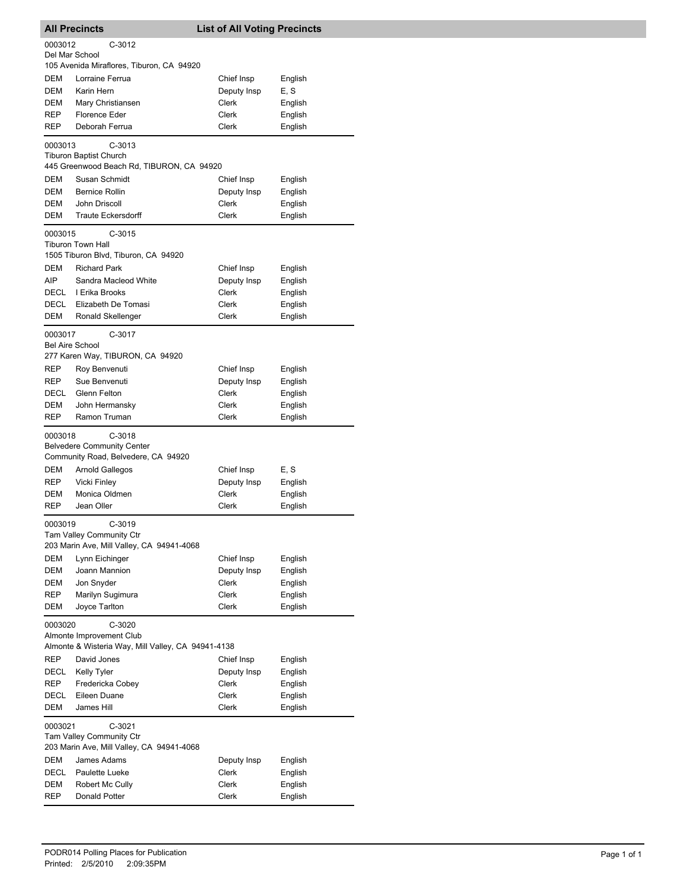|                                   | <b>All Precincts</b>                                             | <b>List of All Voting Precincts</b> |                    |  |  |
|-----------------------------------|------------------------------------------------------------------|-------------------------------------|--------------------|--|--|
| 0003012                           | $C-3012$                                                         |                                     |                    |  |  |
| Del Mar School                    |                                                                  |                                     |                    |  |  |
|                                   | 105 Avenida Miraflores, Tiburon, CA 94920                        |                                     |                    |  |  |
| DEM                               | Lorraine Ferrua                                                  | Chief Insp                          | English            |  |  |
| DEM                               | Karin Hern                                                       | Deputy Insp                         | E, S               |  |  |
| DEM                               | Mary Christiansen                                                | Clerk                               | English            |  |  |
| REP<br>REP                        | <b>Florence Eder</b><br>Deborah Ferrua                           | Clerk<br>Clerk                      | English<br>English |  |  |
|                                   |                                                                  |                                     |                    |  |  |
| 0003013                           | $C-3013$                                                         |                                     |                    |  |  |
|                                   | <b>Tiburon Baptist Church</b>                                    |                                     |                    |  |  |
|                                   | 445 Greenwood Beach Rd, TIBURON, CA 94920                        |                                     |                    |  |  |
| DEM<br>DEM                        | Susan Schmidt<br><b>Bernice Rollin</b>                           | Chief Insp                          | English            |  |  |
| DEM                               | John Driscoll                                                    | Deputy Insp<br>Clerk                | English<br>English |  |  |
| DEM                               | <b>Traute Eckersdorff</b>                                        | Clerk                               | English            |  |  |
|                                   |                                                                  |                                     |                    |  |  |
| 0003015                           | $C-3015$                                                         |                                     |                    |  |  |
|                                   | <b>Tiburon Town Hall</b><br>1505 Tiburon Blvd, Tiburon, CA 94920 |                                     |                    |  |  |
| DEM                               | <b>Richard Park</b>                                              | Chief Insp                          |                    |  |  |
| <b>AIP</b>                        | Sandra Macleod White                                             | Deputy Insp                         | English<br>English |  |  |
| DECL                              | I Erika Brooks                                                   | Clerk                               | English            |  |  |
| DECL                              | Elizabeth De Tomasi                                              | Clerk                               | English            |  |  |
| DEM                               | Ronald Skellenger                                                | Clerk                               | English            |  |  |
|                                   |                                                                  |                                     |                    |  |  |
| 0003017<br><b>Bel Aire School</b> | $C-3017$                                                         |                                     |                    |  |  |
|                                   | 277 Karen Way, TIBURON, CA 94920                                 |                                     |                    |  |  |
| REP                               | Roy Benvenuti                                                    | Chief Insp                          | English            |  |  |
| <b>REP</b>                        | Sue Benvenuti                                                    | Deputy Insp                         | English            |  |  |
| DECL                              | Glenn Felton                                                     | Clerk                               | English            |  |  |
| DEM                               | John Hermansky                                                   | Clerk                               | English            |  |  |
| <b>REP</b>                        | Ramon Truman                                                     | Clerk                               | English            |  |  |
|                                   | $C-3018$                                                         |                                     |                    |  |  |
| 0003018                           | <b>Belvedere Community Center</b>                                |                                     |                    |  |  |
|                                   | Community Road, Belvedere, CA 94920                              |                                     |                    |  |  |
| DEM                               | Arnold Gallegos                                                  | Chief Insp                          | E, S               |  |  |
| REP                               | Vicki Finley                                                     | Deputy Insp                         | English            |  |  |
| DEM                               | Monica Oldmen                                                    | Clerk                               | English            |  |  |
| REP                               | Jean Oller                                                       | Clerk                               | English            |  |  |
| 0003019                           | C-3019                                                           |                                     |                    |  |  |
|                                   | Tam Valley Community Ctr                                         |                                     |                    |  |  |
|                                   | 203 Marin Ave, Mill Valley, CA 94941-4068                        |                                     |                    |  |  |
| DEM                               | Lynn Eichinger                                                   | Chief Insp                          | English            |  |  |
| DEM                               | Joann Mannion                                                    | Deputy Insp                         | English            |  |  |
| DEM                               | Jon Snyder                                                       | Clerk                               | English            |  |  |
| REP                               | Marilyn Sugimura                                                 | <b>Clerk</b>                        | English            |  |  |
| DEM                               | Joyce Tarlton                                                    | Clerk                               | English            |  |  |
| 0003020                           | $C-3020$                                                         |                                     |                    |  |  |
|                                   | Almonte Improvement Club                                         |                                     |                    |  |  |
|                                   | Almonte & Wisteria Way, Mill Valley, CA 94941-4138               |                                     |                    |  |  |
| REP                               | David Jones                                                      | Chief Insp                          | English            |  |  |
| DECL                              | <b>Kelly Tyler</b>                                               | Deputy Insp                         | English            |  |  |
| REP                               | Fredericka Cobey                                                 | Clerk                               | English            |  |  |
| DECL                              | Eileen Duane                                                     | Clerk                               | English            |  |  |
| DEM                               | James Hill                                                       | Clerk                               | English            |  |  |
| 0003021                           | $C-3021$                                                         |                                     |                    |  |  |
|                                   | Tam Valley Community Ctr                                         |                                     |                    |  |  |
|                                   | 203 Marin Ave, Mill Valley, CA 94941-4068                        |                                     |                    |  |  |
| DEM                               | James Adams                                                      | Deputy Insp                         | English            |  |  |
| DECL                              | Paulette Lueke                                                   | Clerk                               | English            |  |  |
| DEM                               | Robert Mc Cully                                                  | Clerk                               | English            |  |  |
| REP                               | Donald Potter                                                    | Clerk                               | English            |  |  |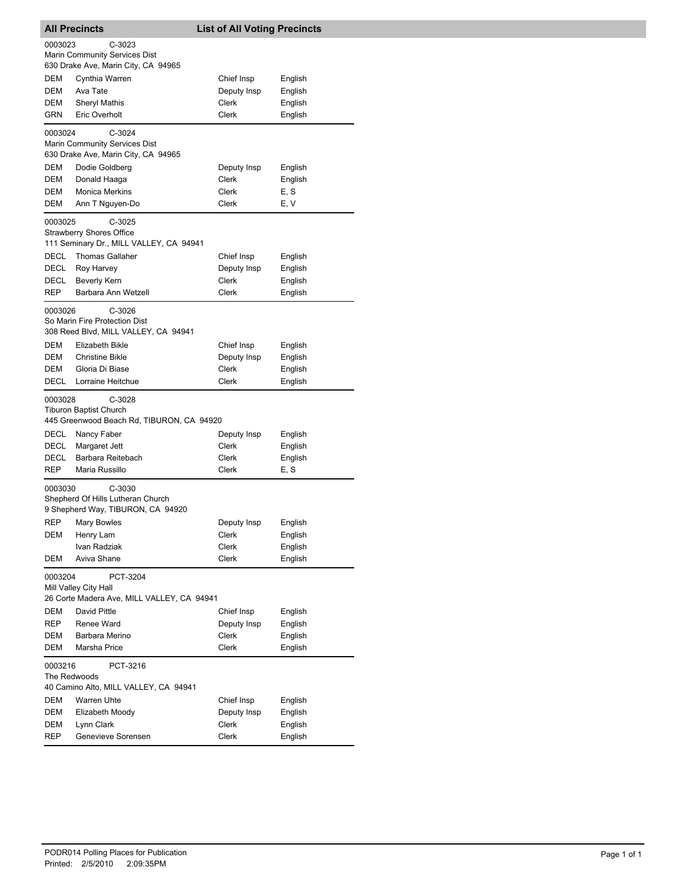| <b>All Precincts</b>    |                                                                                        | <b>List of All Voting Precincts</b> |                    |  |
|-------------------------|----------------------------------------------------------------------------------------|-------------------------------------|--------------------|--|
| 0003023                 | $C-3023$<br>Marin Community Services Dist<br>630 Drake Ave, Marin City, CA 94965       |                                     |                    |  |
| DEM                     | Cynthia Warren                                                                         | Chief Insp                          | English            |  |
| DEM                     | Ava Tate                                                                               | Deputy Insp                         | English            |  |
| <b>DEM</b>              | <b>Sheryl Mathis</b>                                                                   | Clerk                               | English            |  |
| GRN                     | Eric Overholt                                                                          | Clerk                               | English            |  |
| 0003024                 | $C-3024$<br>Marin Community Services Dist<br>630 Drake Ave, Marin City, CA 94965       |                                     |                    |  |
| DEM                     | Dodie Goldberg                                                                         | Deputy Insp                         | English            |  |
| DEM                     | Donald Haaga                                                                           | Clerk                               | English            |  |
| DEM                     | <b>Monica Merkins</b>                                                                  | Clerk                               | E, S               |  |
| DEM                     | Ann T Nguyen-Do                                                                        | Clerk                               | E, V               |  |
| 0003025                 | $C-3025$<br><b>Strawberry Shores Office</b><br>111 Seminary Dr., MILL VALLEY, CA 94941 |                                     |                    |  |
| DECL                    | <b>Thomas Gallaher</b>                                                                 | Chief Insp                          | English            |  |
| DECL                    | Roy Harvey                                                                             | Deputy Insp                         | English            |  |
| DECL                    | Beverly Kern                                                                           | Clerk                               | English            |  |
| REP                     | Barbara Ann Wetzell                                                                    | Clerk                               | English            |  |
| 0003026                 | $C-3026$<br>So Marin Fire Protection Dist<br>308 Reed Blvd, MILL VALLEY, CA 94941      |                                     |                    |  |
| <b>DEM</b>              | Elizabeth Bikle                                                                        | Chief Insp                          | English            |  |
| DEM                     | <b>Christine Bikle</b>                                                                 | Deputy Insp                         | English            |  |
| DEM                     | Gloria Di Biase                                                                        | Clerk                               | English            |  |
| DECL                    | Lorraine Heitchue                                                                      | Clerk                               | English            |  |
| 0003028                 | $C-3028$<br>Tiburon Baptist Church                                                     |                                     |                    |  |
|                         | 445 Greenwood Beach Rd, TIBURON, CA 94920                                              |                                     |                    |  |
| DECL<br>DECL            | Nancy Faber                                                                            | Deputy Insp<br>Clerk                | English            |  |
| <b>DECL</b>             | Margaret Jett<br>Barbara Reitebach                                                     | Clerk                               | English<br>English |  |
| REP                     | Maria Russillo                                                                         | Clerk                               | E, S               |  |
| 0003030                 | C-3030<br>Shepherd Of Hills Lutheran Church                                            |                                     |                    |  |
|                         | 9 Shepherd Way, TIBURON, CA 94920                                                      |                                     |                    |  |
| REP                     | <b>Mary Bowles</b>                                                                     | Deputy Insp                         | English            |  |
| DEM                     | Henry Lam                                                                              | Clerk                               | English            |  |
|                         | Ivan Radziak                                                                           | Clerk                               | English            |  |
| DEM                     | Aviva Shane                                                                            | Clerk                               | English            |  |
| 0003204                 | PCT-3204<br>Mill Valley City Hall<br>26 Corte Madera Ave, MILL VALLEY, CA 94941        |                                     |                    |  |
| <b>DEM</b>              | David Pittle                                                                           | Chief Insp                          | English            |  |
| REP                     | Renee Ward                                                                             | Deputy Insp                         | English            |  |
| DEM                     | Barbara Merino                                                                         | Clerk                               | English            |  |
| DEM                     | Marsha Price                                                                           | Clerk                               | English            |  |
| 0003216<br>The Redwoods | PCT-3216<br>40 Camino Alto, MILL VALLEY, CA 94941                                      |                                     |                    |  |
| DEM                     | Warren Uhte                                                                            | Chief Insp                          | English            |  |
| DEM                     | Elizabeth Moody                                                                        | Deputy Insp                         | English            |  |
| DEM                     | Lynn Clark                                                                             | Clerk                               | English            |  |
| REP                     | Genevieve Sorensen                                                                     | Clerk                               | English            |  |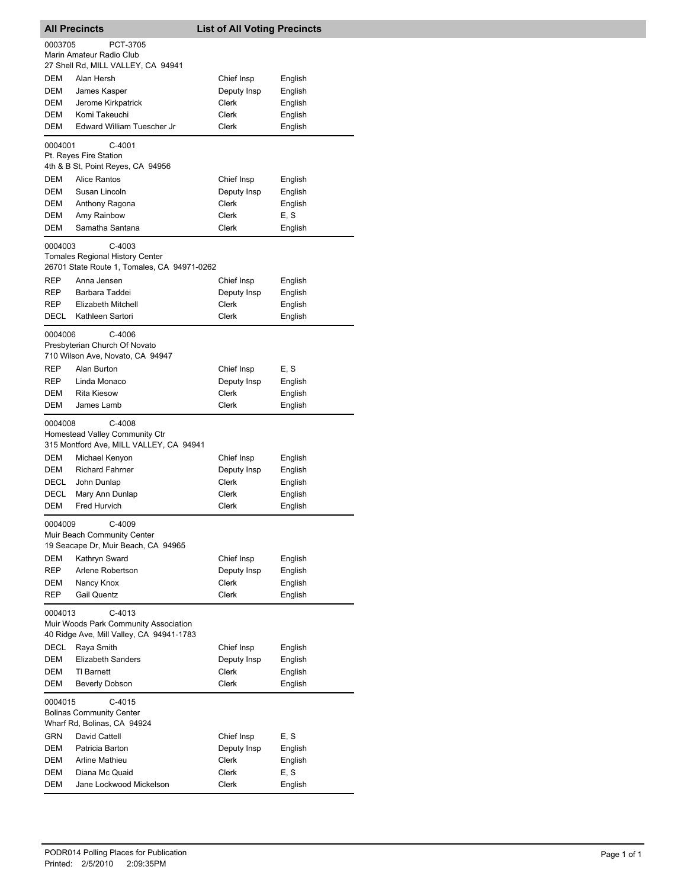| <b>All Precincts</b> |                                                                                                   | <b>List of All Voting Precincts</b> |         |
|----------------------|---------------------------------------------------------------------------------------------------|-------------------------------------|---------|
| 0003705              | PCT-3705                                                                                          |                                     |         |
|                      | Marin Amateur Radio Club                                                                          |                                     |         |
|                      | 27 Shell Rd, MILL VALLEY, CA 94941                                                                |                                     |         |
| <b>DEM</b>           | Alan Hersh                                                                                        | Chief Insp                          | English |
| DEM                  | James Kasper                                                                                      | Deputy Insp                         | English |
| DEM                  | Jerome Kirkpatrick                                                                                | Clerk                               | English |
| DEM                  | Komi Takeuchi                                                                                     | Clerk                               | English |
| DEM                  | Edward William Tuescher Jr                                                                        | Clerk                               | English |
| 0004001              | $C-4001$<br>Pt. Reyes Fire Station<br>4th & B St, Point Reyes, CA 94956                           |                                     |         |
| DEM                  | Alice Rantos                                                                                      | Chief Insp                          | English |
| DEM                  | Susan Lincoln                                                                                     | Deputy Insp                         | English |
| DEM                  | Anthony Ragona                                                                                    | Clerk                               | English |
| <b>DEM</b>           | Amy Rainbow                                                                                       | Clerk                               | E, S    |
| DEM                  | Samatha Santana                                                                                   | Clerk                               | English |
| 0004003              | $C-4003$<br><b>Tomales Regional History Center</b><br>26701 State Route 1, Tomales, CA 94971-0262 |                                     |         |
| REP                  | Anna Jensen                                                                                       | Chief Insp                          | English |
| REP                  | Barbara Taddei                                                                                    | Deputy Insp                         | English |
| REP                  | <b>Elizabeth Mitchell</b>                                                                         | Clerk                               | English |
| DECL                 | Kathleen Sartori                                                                                  | Clerk                               | English |
| 0004006              | $C-4006$<br>Presbyterian Church Of Novato<br>710 Wilson Ave, Novato, CA 94947                     |                                     |         |
| REP                  | Alan Burton                                                                                       | Chief Insp                          | E, S    |
| REP                  | Linda Monaco                                                                                      | Deputy Insp                         | English |
| <b>DEM</b>           | <b>Rita Kiesow</b>                                                                                | Clerk                               | English |
| DEM                  | James Lamb                                                                                        | Clerk                               | English |
| 0004008              | C-4008<br>Homestead Valley Community Ctr<br>315 Montford Ave, MILL VALLEY, CA 94941               |                                     |         |
| DEM                  | Michael Kenyon                                                                                    | Chief Insp                          | English |
| DEM                  | <b>Richard Fahrner</b>                                                                            | Deputy Insp                         | English |
| DECL                 | John Dunlap                                                                                       | Clerk                               | English |
| DECL                 | Mary Ann Dunlap                                                                                   | Clerk                               | English |
| DEM                  | Fred Hurvich                                                                                      | Clerk                               | English |
| 0004009              | C-4009<br>Muir Beach Community Center<br>19 Seacape Dr, Muir Beach, CA 94965                      |                                     |         |
| DEM                  | Kathryn Sward                                                                                     | Chief Insp                          | English |
| REP                  | Arlene Robertson                                                                                  | Deputy Insp                         | English |
| DEM                  | Nancy Knox                                                                                        | Clerk                               | English |
| <b>REP</b>           | <b>Gail Quentz</b>                                                                                | Clerk                               | English |
| 0004013              | C-4013<br>Muir Woods Park Community Association<br>40 Ridge Ave, Mill Valley, CA 94941-1783       |                                     |         |
| DECL                 | Raya Smith                                                                                        | Chief Insp                          | English |
| DEM                  | <b>Elizabeth Sanders</b>                                                                          | Deputy Insp                         | English |
| DEM                  | TI Barnett                                                                                        | Clerk                               | English |
| DEM                  | <b>Beverly Dobson</b>                                                                             | Clerk                               | English |
| 0004015              | $C-4015$<br><b>Bolinas Community Center</b><br>Wharf Rd, Bolinas, CA 94924                        |                                     |         |
| GRN                  | David Cattell                                                                                     | Chief Insp                          | E, S    |
| DEM                  | Patricia Barton                                                                                   | Deputy Insp                         | English |
| DEM                  | Arline Mathieu                                                                                    | Clerk                               | English |
| DEM                  | Diana Mc Quaid                                                                                    | Clerk                               | E, S    |
| DEM                  | Jane Lockwood Mickelson                                                                           | Clerk                               | English |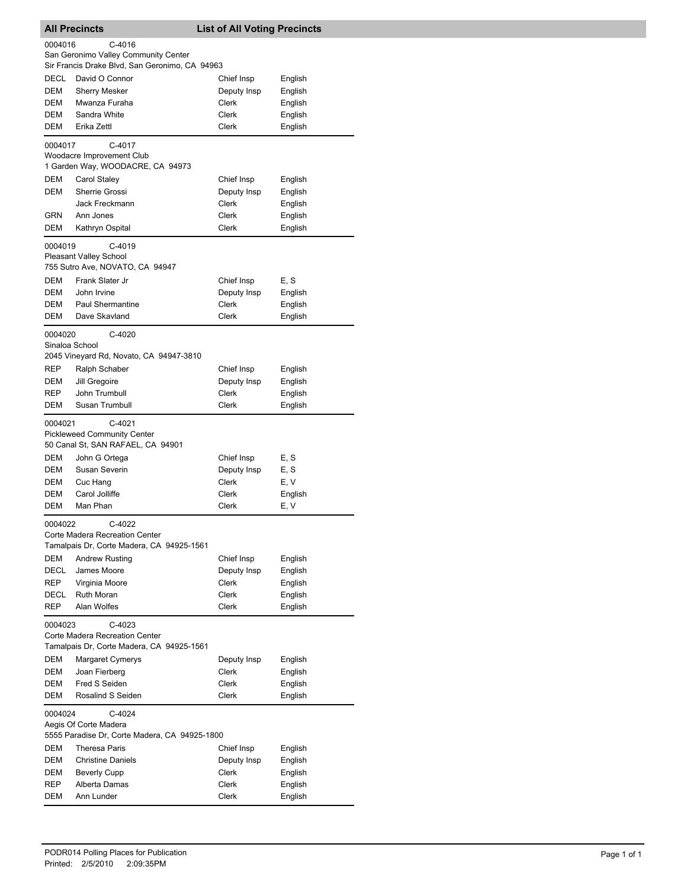|                                                                                                  | <b>All Precincts</b>                                                                         | <b>List of All Voting Precincts</b> |                    |  |
|--------------------------------------------------------------------------------------------------|----------------------------------------------------------------------------------------------|-------------------------------------|--------------------|--|
| 0004016<br>C-4016                                                                                |                                                                                              |                                     |                    |  |
|                                                                                                  | San Geronimo Valley Community Center                                                         |                                     |                    |  |
|                                                                                                  | Sir Francis Drake Blvd, San Geronimo, CA 94963                                               |                                     |                    |  |
| DECL                                                                                             | David O Connor<br><b>Sherry Mesker</b>                                                       | Chief Insp                          | English            |  |
| DEM<br>DEM                                                                                       | Mwanza Furaha                                                                                | Deputy Insp<br>Clerk                | English<br>English |  |
| DEM                                                                                              | Sandra White                                                                                 | Clerk                               | English            |  |
| DEM                                                                                              | Erika Zettl                                                                                  | <b>Clerk</b>                        | English            |  |
|                                                                                                  |                                                                                              |                                     |                    |  |
| 0004017                                                                                          | C-4017<br>Woodacre Improvement Club<br>1 Garden Way, WOODACRE, CA 94973                      |                                     |                    |  |
| DEM                                                                                              | Carol Staley                                                                                 | Chief Insp                          | English            |  |
| DEM                                                                                              | Sherrie Grossi                                                                               | Deputy Insp                         | English            |  |
|                                                                                                  | Jack Freckmann                                                                               | Clerk                               | English            |  |
| GRN<br>DEM                                                                                       | Ann Jones                                                                                    | Clerk<br>Clerk                      | English            |  |
|                                                                                                  | Kathryn Ospital                                                                              |                                     | English            |  |
| 0004019                                                                                          | C-4019<br><b>Pleasant Valley School</b><br>755 Sutro Ave, NOVATO, CA 94947                   |                                     |                    |  |
| DEM                                                                                              | Frank Slater Jr                                                                              | Chief Insp                          | E, S               |  |
| DEM                                                                                              | John Irvine                                                                                  | Deputy Insp                         | English            |  |
| DEM                                                                                              | Paul Shermantine                                                                             | Clerk                               | English            |  |
| <b>DEM</b>                                                                                       | Dave Skavland                                                                                | Clerk                               | English            |  |
| 0004020                                                                                          | C-4020<br>Sinaloa School                                                                     |                                     |                    |  |
|                                                                                                  | 2045 Vineyard Rd, Novato, CA 94947-3810                                                      |                                     |                    |  |
| <b>REP</b>                                                                                       | Ralph Schaber                                                                                | Chief Insp                          | English            |  |
| DEM                                                                                              | Jill Gregoire                                                                                | Deputy Insp                         | English            |  |
| REP                                                                                              | John Trumbull                                                                                | <b>Clerk</b>                        | English            |  |
| DEM                                                                                              | Susan Trumbull                                                                               | Clerk                               | English            |  |
|                                                                                                  | C-4021<br>0004021<br><b>Pickleweed Community Center</b><br>50 Canal St, SAN RAFAEL, CA 94901 |                                     |                    |  |
| <b>DEM</b>                                                                                       | John G Ortega                                                                                | Chief Insp                          | E, S               |  |
| DEM                                                                                              | Susan Severin                                                                                | Deputy Insp                         | E, S               |  |
| DEM                                                                                              | Cuc Hang                                                                                     | Clerk                               | E, V               |  |
| DEM                                                                                              | Carol Jolliffe                                                                               | Clerk                               | English            |  |
| DEM                                                                                              | Man Phan                                                                                     | <b>Clerk</b>                        | E, V               |  |
| 0004022<br>C-4022<br>Corte Madera Recreation Center<br>Tamalpais Dr, Corte Madera, CA 94925-1561 |                                                                                              |                                     |                    |  |
| DEM                                                                                              | <b>Andrew Rusting</b>                                                                        | Chief Insp                          | English            |  |
| DECL                                                                                             | James Moore                                                                                  | Deputy Insp                         | English            |  |
| REP                                                                                              | Virginia Moore                                                                               | <b>Clerk</b>                        | English            |  |
| DECL                                                                                             | Ruth Moran                                                                                   | Clerk                               | English            |  |
| REP                                                                                              | Alan Wolfes                                                                                  | Clerk                               | English            |  |
| C-4023<br>0004023<br>Corte Madera Recreation Center                                              |                                                                                              |                                     |                    |  |
|                                                                                                  | Tamalpais Dr, Corte Madera, CA 94925-1561                                                    |                                     |                    |  |
| DEM                                                                                              | Margaret Cymerys                                                                             | Deputy Insp                         | English            |  |
| DEM                                                                                              | Joan Fierberg                                                                                | Clerk                               | English            |  |
| DEM<br>DEM                                                                                       | Fred S Seiden<br>Rosalind S Seiden                                                           | Clerk<br>Clerk                      | English            |  |
| English                                                                                          |                                                                                              |                                     |                    |  |
| 0004024<br>C-4024<br>Aegis Of Corte Madera<br>5555 Paradise Dr, Corte Madera, CA 94925-1800      |                                                                                              |                                     |                    |  |
| DEM                                                                                              | <b>Theresa Paris</b>                                                                         | Chief Insp                          | English            |  |
| DEM                                                                                              | <b>Christine Daniels</b>                                                                     | Deputy Insp                         | English            |  |
| DEM                                                                                              | <b>Beverly Cupp</b>                                                                          | Clerk                               | English            |  |
| REP                                                                                              | Alberta Damas                                                                                | Clerk                               | English            |  |
| DEM                                                                                              | Ann Lunder                                                                                   | Clerk                               | English            |  |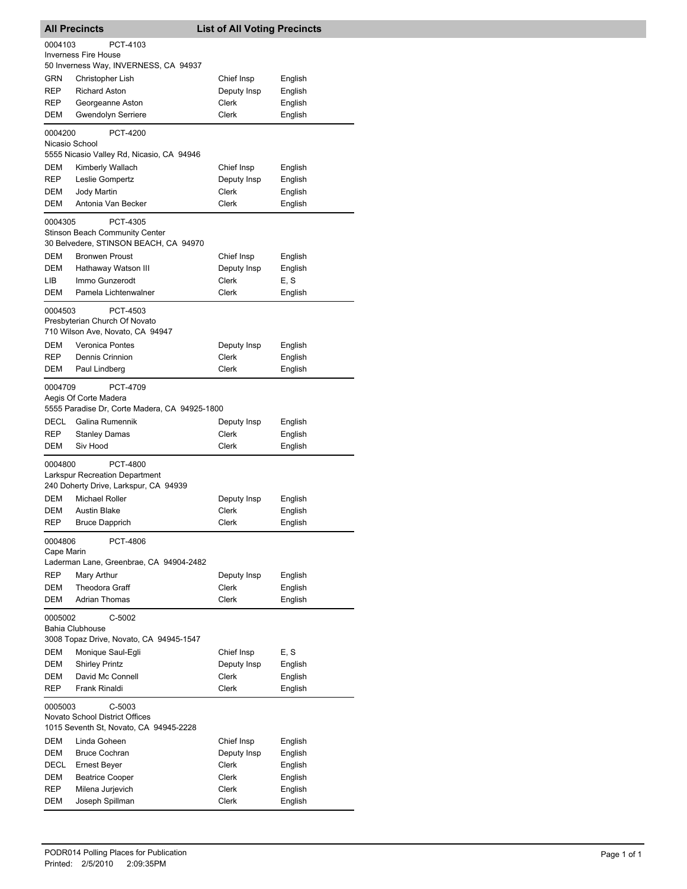| <b>All Precincts</b>                                                                           |                                                                                               |             | <b>List of All Voting Precincts</b> |  |
|------------------------------------------------------------------------------------------------|-----------------------------------------------------------------------------------------------|-------------|-------------------------------------|--|
| 0004103                                                                                        | PCT-4103                                                                                      |             |                                     |  |
|                                                                                                | <b>Inverness Fire House</b>                                                                   |             |                                     |  |
|                                                                                                | 50 Inverness Way, INVERNESS, CA 94937                                                         |             |                                     |  |
| GRN                                                                                            | Christopher Lish                                                                              | Chief Insp  | English                             |  |
| REP                                                                                            | <b>Richard Aston</b>                                                                          | Deputy Insp | English                             |  |
| REP                                                                                            | Georgeanne Aston                                                                              | Clerk       | English                             |  |
| DEM                                                                                            | Gwendolyn Serriere                                                                            | Clerk       | English                             |  |
| 0004200<br>Nicasio School                                                                      | <b>PCT-4200</b>                                                                               |             |                                     |  |
|                                                                                                | 5555 Nicasio Valley Rd, Nicasio, CA 94946                                                     |             |                                     |  |
| DEM                                                                                            | Kimberly Wallach                                                                              | Chief Insp  | English                             |  |
| <b>REP</b>                                                                                     | Leslie Gompertz                                                                               | Deputy Insp | English                             |  |
| DEM                                                                                            | <b>Jody Martin</b>                                                                            | Clerk       | English                             |  |
| DEM                                                                                            | Antonia Van Becker                                                                            | Clerk       | English                             |  |
| 0004305                                                                                        | PCT-4305<br>Stinson Beach Community Center<br>30 Belvedere, STINSON BEACH, CA 94970           |             |                                     |  |
| <b>DEM</b>                                                                                     | <b>Bronwen Proust</b>                                                                         | Chief Insp  | English                             |  |
| DEM                                                                                            | Hathaway Watson III                                                                           | Deputy Insp | English                             |  |
| LIB                                                                                            | Immo Gunzerodt                                                                                | Clerk       | E, S                                |  |
| DEM                                                                                            | Pamela Lichtenwalner                                                                          | Clerk       | English                             |  |
| 0004503                                                                                        | PCT-4503<br>Presbyterian Church Of Novato<br>710 Wilson Ave, Novato, CA 94947                 |             |                                     |  |
| DEM                                                                                            | <b>Veronica Pontes</b>                                                                        | Deputy Insp | English                             |  |
| REP                                                                                            | Dennis Crinnion                                                                               | Clerk       | English                             |  |
| DEM                                                                                            | Paul Lindberg                                                                                 | Clerk       | English                             |  |
|                                                                                                | PCT-4709<br>0004709<br>Aegis Of Corte Madera<br>5555 Paradise Dr, Corte Madera, CA 94925-1800 |             |                                     |  |
| DECL                                                                                           | Galina Rumennik                                                                               | Deputy Insp | English                             |  |
| <b>REP</b>                                                                                     | Stanley Damas                                                                                 | Clerk       | English                             |  |
| DEM                                                                                            | Siv Hood                                                                                      | Clerk       | English                             |  |
| 0004800<br>PCT-4800<br>Larkspur Recreation Department<br>240 Doherty Drive, Larkspur, CA 94939 |                                                                                               |             |                                     |  |
| DEM                                                                                            | <b>Michael Roller</b>                                                                         | Deputy Insp | English                             |  |
| DEM                                                                                            | <b>Austin Blake</b>                                                                           | Clerk       | English                             |  |
| REP                                                                                            | <b>Bruce Dapprich</b>                                                                         | Clerk       | English                             |  |
| 0004806<br>PCT-4806<br>Cape Marin                                                              |                                                                                               |             |                                     |  |
|                                                                                                | Laderman Lane, Greenbrae, CA 94904-2482                                                       |             |                                     |  |
| REP                                                                                            | Mary Arthur                                                                                   | Deputy Insp | English                             |  |
| DEM                                                                                            | <b>Theodora Graff</b>                                                                         | Clerk       | English                             |  |
| DEM                                                                                            | Adrian Thomas                                                                                 | Clerk       | English                             |  |
| C-5002<br>0005002<br><b>Bahia Clubhouse</b><br>3008 Topaz Drive, Novato, CA 94945-1547         |                                                                                               |             |                                     |  |
| DEM                                                                                            | Monique Saul-Egli                                                                             | Chief Insp  | E, S                                |  |
| DEM                                                                                            | <b>Shirley Printz</b>                                                                         | Deputy Insp | English                             |  |
| DEM                                                                                            | David Mc Connell                                                                              | Clerk       | English                             |  |
| REP                                                                                            | Frank Rinaldi                                                                                 | Clerk       | English                             |  |
|                                                                                                | 0005003<br>C-5003<br>Novato School District Offices<br>1015 Seventh St, Novato, CA 94945-2228 |             |                                     |  |
| DEM                                                                                            | Linda Goheen                                                                                  | Chief Insp  | English                             |  |
| DEM                                                                                            | <b>Bruce Cochran</b>                                                                          | Deputy Insp | English                             |  |
| DECL                                                                                           | Ernest Beyer                                                                                  | Clerk       | English                             |  |
| DEM                                                                                            | <b>Beatrice Cooper</b>                                                                        | Clerk       | English                             |  |
| REP                                                                                            | Milena Jurjevich                                                                              | Clerk       | English                             |  |
| DEM                                                                                            | Joseph Spillman                                                                               | Clerk       | English                             |  |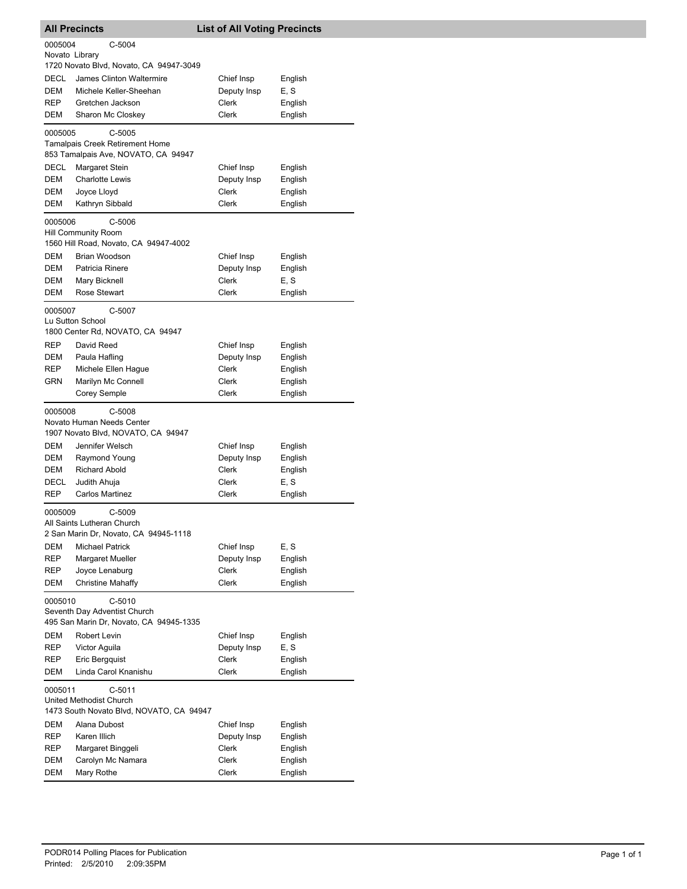|                                                                                            | <b>All Precincts</b>                                                                | <b>List of All Voting Precincts</b> |                    |  |
|--------------------------------------------------------------------------------------------|-------------------------------------------------------------------------------------|-------------------------------------|--------------------|--|
| 0005004<br>C-5004<br>Novato Library                                                        |                                                                                     |                                     |                    |  |
| <b>DECL</b>                                                                                | 1720 Novato Blvd, Novato, CA 94947-3049<br>James Clinton Waltermire                 | Chief Insp                          | English            |  |
| DEM                                                                                        | Michele Keller-Sheehan                                                              | Deputy Insp                         | E, S               |  |
| REP                                                                                        | Gretchen Jackson                                                                    | Clerk                               | English            |  |
| DEM                                                                                        | Sharon Mc Closkey                                                                   | Clerk                               | English            |  |
| 0005005                                                                                    | $C-5005$<br>Tamalpais Creek Retirement Home                                         |                                     |                    |  |
|                                                                                            | 853 Tamalpais Ave, NOVATO, CA 94947                                                 |                                     |                    |  |
| DECL                                                                                       | Margaret Stein                                                                      | Chief Insp                          | English            |  |
| DEM                                                                                        | <b>Charlotte Lewis</b>                                                              | Deputy Insp                         | English            |  |
| <b>DEM</b>                                                                                 | Joyce Lloyd                                                                         | Clerk                               | English            |  |
| DEM                                                                                        | Kathryn Sibbald                                                                     | Clerk                               | English            |  |
| 0005006<br>$C-5006$<br><b>Hill Community Room</b><br>1560 Hill Road, Novato, CA 94947-4002 |                                                                                     |                                     |                    |  |
| DEM                                                                                        | Brian Woodson                                                                       | Chief Insp                          | English            |  |
| DEM                                                                                        | Patricia Rinere                                                                     | Deputy Insp                         | English            |  |
| DEM                                                                                        | Mary Bicknell                                                                       | <b>Clerk</b>                        | E, S               |  |
| DEM                                                                                        | Rose Stewart                                                                        | Clerk                               | English            |  |
| C-5007<br>0005007<br>Lu Sutton School<br>1800 Center Rd, NOVATO, CA 94947                  |                                                                                     |                                     |                    |  |
| REP                                                                                        | David Reed                                                                          | Chief Insp                          | English            |  |
| DEM                                                                                        | Paula Hafling                                                                       | Deputy Insp                         | English            |  |
| REP                                                                                        | Michele Ellen Hague                                                                 | Clerk                               | English            |  |
| GRN                                                                                        | Marilyn Mc Connell                                                                  | Clerk                               | English            |  |
|                                                                                            | <b>Corey Semple</b>                                                                 | Clerk                               | English            |  |
| 0005008                                                                                    | C-5008<br>Novato Human Needs Center<br>1907 Novato Blvd, NOVATO, CA 94947           |                                     |                    |  |
| DEM                                                                                        | Jennifer Welsch                                                                     | Chief Insp                          | English            |  |
| DEM                                                                                        | Raymond Young                                                                       | Deputy Insp                         | English            |  |
| DEM                                                                                        | <b>Richard Abold</b>                                                                | Clerk                               | English            |  |
| DECL                                                                                       | Judith Ahuja                                                                        | Clerk                               | E, S               |  |
| REP                                                                                        | Carlos Martinez                                                                     | Clerk                               | English            |  |
| 0005009                                                                                    | $C-5009$<br>All Saints Lutheran Church                                              |                                     |                    |  |
|                                                                                            | 2 San Marin Dr, Novato, CA 94945-1118                                               |                                     |                    |  |
| DEM                                                                                        | <b>Michael Patrick</b>                                                              | Chief Insp                          | E, S               |  |
| REP                                                                                        | <b>Margaret Mueller</b>                                                             | Deputy Insp                         | English            |  |
| REP<br>DEM                                                                                 | Joyce Lenaburg<br><b>Christine Mahaffy</b>                                          | Clerk<br>Clerk                      | English<br>English |  |
| 0005010                                                                                    | $C-5010$<br>Seventh Day Adventist Church<br>495 San Marin Dr, Novato, CA 94945-1335 |                                     |                    |  |
| DEM                                                                                        | Robert Levin                                                                        | Chief Insp                          | English            |  |
| REP                                                                                        | Victor Aguila                                                                       | Deputy Insp                         | E, S               |  |
| REP                                                                                        | Eric Bergquist                                                                      | Clerk                               | English            |  |
| DEM                                                                                        | Linda Carol Knanishu                                                                | Clerk                               | English            |  |
| 0005011                                                                                    | $C-5011$<br>United Methodist Church<br>1473 South Novato Blvd, NOVATO, CA 94947     |                                     |                    |  |
| DEM                                                                                        | Alana Dubost                                                                        | Chief Insp                          | English            |  |
| REP                                                                                        | Karen Illich                                                                        | Deputy Insp                         | English            |  |
| REP                                                                                        | Margaret Binggeli                                                                   | Clerk                               | English            |  |
| DEM                                                                                        | Carolyn Mc Namara                                                                   | Clerk                               | English            |  |
| DEM                                                                                        | Mary Rothe                                                                          | Clerk                               | English            |  |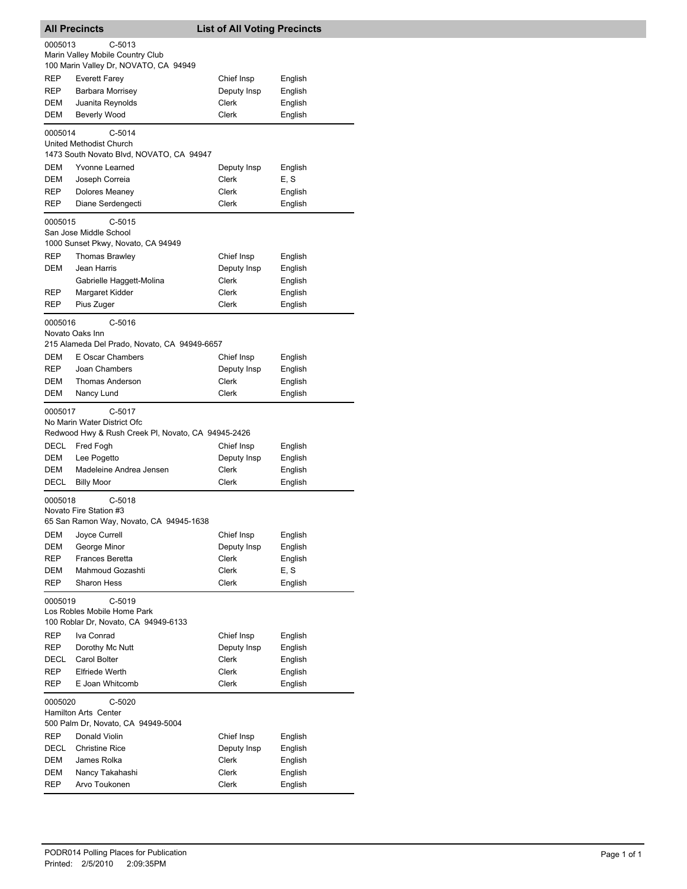| <b>List of All Voting Precincts</b><br><b>All Precincts</b>                              |                                                                                                          |                       |                    |  |
|------------------------------------------------------------------------------------------|----------------------------------------------------------------------------------------------------------|-----------------------|--------------------|--|
| 0005013<br>$C-5013$                                                                      |                                                                                                          |                       |                    |  |
|                                                                                          | Marin Valley Mobile Country Club<br>100 Marin Valley Dr, NOVATO, CA 94949                                |                       |                    |  |
| REP                                                                                      | <b>Everett Farey</b>                                                                                     | Chief Insp            | English            |  |
| REP                                                                                      | Barbara Morrisey                                                                                         | Deputy Insp           | English            |  |
| <b>DEM</b>                                                                               | Juanita Reynolds                                                                                         | Clerk                 | English            |  |
| DEM                                                                                      | Beverly Wood                                                                                             | <b>Clerk</b>          | English            |  |
| 0005014                                                                                  | $C-5014$<br>United Methodist Church<br>1473 South Novato Blvd, NOVATO, CA 94947                          |                       |                    |  |
| DEM                                                                                      | Yvonne Learned                                                                                           | Deputy Insp           | English            |  |
| DEM                                                                                      | Joseph Correia                                                                                           | Clerk                 | E, S               |  |
| REP                                                                                      | Dolores Meaney                                                                                           | Clerk                 | English            |  |
| REP                                                                                      | Diane Serdengecti                                                                                        | Clerk                 | English            |  |
| 0005015                                                                                  | $C-5015$<br>San Jose Middle School<br>1000 Sunset Pkwy, Novato, CA 94949                                 |                       |                    |  |
| <b>REP</b>                                                                               | <b>Thomas Brawley</b>                                                                                    | Chief Insp            | English            |  |
| <b>DEM</b>                                                                               | Jean Harris                                                                                              | Deputy Insp           | English            |  |
|                                                                                          | Gabrielle Haggett-Molina                                                                                 | Clerk                 | English            |  |
| REP<br>REP                                                                               | Margaret Kidder<br>Pius Zuger                                                                            | Clerk<br>Clerk        | English<br>English |  |
|                                                                                          |                                                                                                          |                       |                    |  |
| 0005016                                                                                  | $C-5016$<br>Novato Oaks Inn<br>215 Alameda Del Prado, Novato, CA 94949-6657                              |                       |                    |  |
| DEM                                                                                      | E Oscar Chambers                                                                                         | Chief Insp            | English            |  |
| <b>REP</b>                                                                               | Joan Chambers                                                                                            | Deputy Insp           | English            |  |
| <b>DEM</b>                                                                               | <b>Thomas Anderson</b>                                                                                   | <b>Clerk</b>          | English            |  |
| <b>DEM</b>                                                                               | Nancy Lund                                                                                               | Clerk                 | English            |  |
|                                                                                          | $C-5017$<br>0005017<br>No Marin Water District Ofc<br>Redwood Hwy & Rush Creek PI, Novato, CA 94945-2426 |                       |                    |  |
| DECL                                                                                     | Fred Fogh                                                                                                | Chief Insp            | English            |  |
| DEM                                                                                      | Lee Pogetto                                                                                              | Deputy Insp           | English            |  |
| DEM                                                                                      | Madeleine Andrea Jensen                                                                                  | Clerk                 | English            |  |
| DECL                                                                                     | <b>Billy Moor</b>                                                                                        | Clerk                 | English            |  |
| $C-5018$<br>0005018<br>Novato Fire Station #3<br>65 San Ramon Way, Novato, CA 94945-1638 |                                                                                                          |                       |                    |  |
| DEM                                                                                      | Joyce Currell                                                                                            | Chief Insp            | English            |  |
| DEM                                                                                      | George Minor                                                                                             | Deputy Insp           | English            |  |
| REP                                                                                      | Frances Beretta                                                                                          | Clerk                 | English            |  |
| DEM<br><b>REP</b>                                                                        | Mahmoud Gozashti<br><b>Sharon Hess</b>                                                                   | Clerk<br><b>Clerk</b> | E, S<br>English    |  |
| 0005019                                                                                  | C-5019<br>Los Robles Mobile Home Park<br>100 Roblar Dr, Novato, CA 94949-6133                            |                       |                    |  |
| REP                                                                                      | Iva Conrad                                                                                               | Chief Insp            | English            |  |
| REP                                                                                      | Dorothy Mc Nutt                                                                                          | Deputy Insp           | English            |  |
| DECL                                                                                     | Carol Bolter                                                                                             | Clerk                 | English            |  |
| REP                                                                                      | <b>Elfriede Werth</b>                                                                                    | <b>Clerk</b>          | English            |  |
| REP                                                                                      | E Joan Whitcomb                                                                                          | Clerk                 | English            |  |
| 0005020                                                                                  | $C-5020$<br>Hamilton Arts Center<br>500 Palm Dr, Novato, CA 94949-5004                                   |                       |                    |  |
| <b>REP</b>                                                                               | Donald Violin                                                                                            | Chief Insp            | English            |  |
| DECL                                                                                     | <b>Christine Rice</b>                                                                                    | Deputy Insp           | English            |  |
| DEM                                                                                      | James Rolka                                                                                              | Clerk                 | English            |  |
| DEM<br>REP                                                                               | Nancy Takahashi<br>Arvo Toukonen                                                                         | Clerk<br>Clerk        | English<br>English |  |
|                                                                                          |                                                                                                          |                       |                    |  |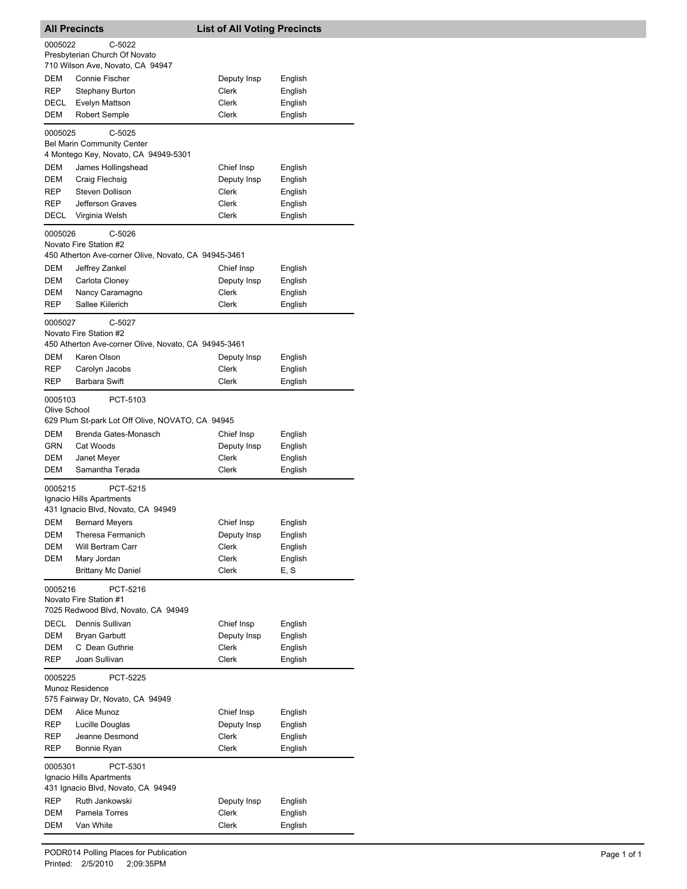| <b>All Precincts</b>                                                                                |                                                                                            | <b>List of All Voting Precincts</b> |         |  |
|-----------------------------------------------------------------------------------------------------|--------------------------------------------------------------------------------------------|-------------------------------------|---------|--|
| 0005022                                                                                             | C-5022                                                                                     |                                     |         |  |
|                                                                                                     | Presbyterian Church Of Novato                                                              |                                     |         |  |
| DEM                                                                                                 | 710 Wilson Ave, Novato, CA 94947<br><b>Connie Fischer</b>                                  |                                     | English |  |
| REP                                                                                                 | <b>Stephany Burton</b>                                                                     | Deputy Insp<br>Clerk                | English |  |
| DECL                                                                                                | Evelyn Mattson                                                                             | Clerk                               | English |  |
| DEM                                                                                                 | <b>Robert Semple</b>                                                                       | <b>Clerk</b>                        | English |  |
| 0005025                                                                                             | $C-5025$                                                                                   |                                     |         |  |
|                                                                                                     | <b>Bel Marin Community Center</b><br>4 Montego Key, Novato, CA 94949-5301                  |                                     |         |  |
| DEM                                                                                                 | James Hollingshead                                                                         | Chief Insp                          | English |  |
| DEM                                                                                                 | Craig Flechsig                                                                             | Deputy Insp                         | English |  |
| REP                                                                                                 | <b>Steven Dollison</b>                                                                     | Clerk                               | English |  |
| REP                                                                                                 | Jefferson Graves                                                                           | Clerk                               | English |  |
| DECL                                                                                                | Virginia Welsh                                                                             | Clerk                               | English |  |
| 0005026                                                                                             | $C-5026$<br>Novato Fire Station #2<br>450 Atherton Ave-corner Olive, Novato, CA 94945-3461 |                                     |         |  |
| DEM                                                                                                 | Jeffrey Zankel                                                                             | Chief Insp                          | English |  |
| DEM                                                                                                 | Carlota Cloney                                                                             | Deputy Insp                         | English |  |
| DEM                                                                                                 | Nancy Caramagno                                                                            | Clerk                               | English |  |
| REP                                                                                                 | Sallee Kiilerich                                                                           | Clerk                               | English |  |
| C-5027<br>0005027<br>Novato Fire Station #2<br>450 Atherton Ave-corner Olive, Novato, CA 94945-3461 |                                                                                            |                                     |         |  |
| DEM                                                                                                 | Karen Olson                                                                                | Deputy Insp                         | English |  |
| REP                                                                                                 | Carolyn Jacobs                                                                             | Clerk                               | English |  |
| REP                                                                                                 | Barbara Swift                                                                              | Clerk                               | English |  |
|                                                                                                     | PCT-5103<br>0005103<br>Olive School<br>629 Plum St-park Lot Off Olive, NOVATO, CA 94945    |                                     |         |  |
| DEM                                                                                                 | Brenda Gates-Monasch                                                                       | Chief Insp                          | English |  |
| GRN                                                                                                 | Cat Woods                                                                                  | Deputy Insp                         | English |  |
| DEM                                                                                                 | Janet Meyer                                                                                | Clerk                               | English |  |
| DEM                                                                                                 | Samantha Terada                                                                            | Clerk                               | English |  |
| PCT-5215<br>0005215<br>Ignacio Hills Apartments<br>431 Ignacio Blvd, Novato, CA 94949               |                                                                                            |                                     |         |  |
|                                                                                                     | <b>DEM</b> Bernard Meyers                                                                  | Chief Insp                          | English |  |
| DEM                                                                                                 | Theresa Fermanich                                                                          | Deputy Insp                         | English |  |
| DEM                                                                                                 | Will Bertram Carr                                                                          | Clerk                               | English |  |
| DEM                                                                                                 | Mary Jordan                                                                                | Clerk                               | English |  |
|                                                                                                     | <b>Brittany Mc Daniel</b>                                                                  | Clerk                               | E, S    |  |
| PCT-5216<br>0005216<br>Novato Fire Station #1<br>7025 Redwood Blvd, Novato, CA 94949                |                                                                                            |                                     |         |  |
| DECL                                                                                                | Dennis Sullivan                                                                            | Chief Insp                          | English |  |
| DEM                                                                                                 | <b>Bryan Garbutt</b>                                                                       | Deputy Insp                         | English |  |
| DEM                                                                                                 | C Dean Guthrie                                                                             | Clerk                               | English |  |
| REP                                                                                                 | Joan Sullivan                                                                              | Clerk                               | English |  |
| 0005225<br>PCT-5225<br>Munoz Residence<br>575 Fairway Dr, Novato, CA 94949                          |                                                                                            |                                     |         |  |
| DEM                                                                                                 | Alice Munoz                                                                                | Chief Insp                          | English |  |
| REP                                                                                                 | Lucille Douglas                                                                            | Deputy Insp                         | English |  |
| REP                                                                                                 | Jeanne Desmond                                                                             | Clerk                               | English |  |
| REP                                                                                                 | Bonnie Ryan                                                                                | Clerk                               | English |  |
| 0005301<br>PCT-5301<br>Ignacio Hills Apartments<br>431 Ignacio Blvd, Novato, CA 94949               |                                                                                            |                                     |         |  |
| REP                                                                                                 | Ruth Jankowski                                                                             | Deputy Insp                         | English |  |
| DEM                                                                                                 | Pamela Torres                                                                              | Clerk                               | English |  |
| DEM                                                                                                 | Van White                                                                                  | Clerk                               | English |  |